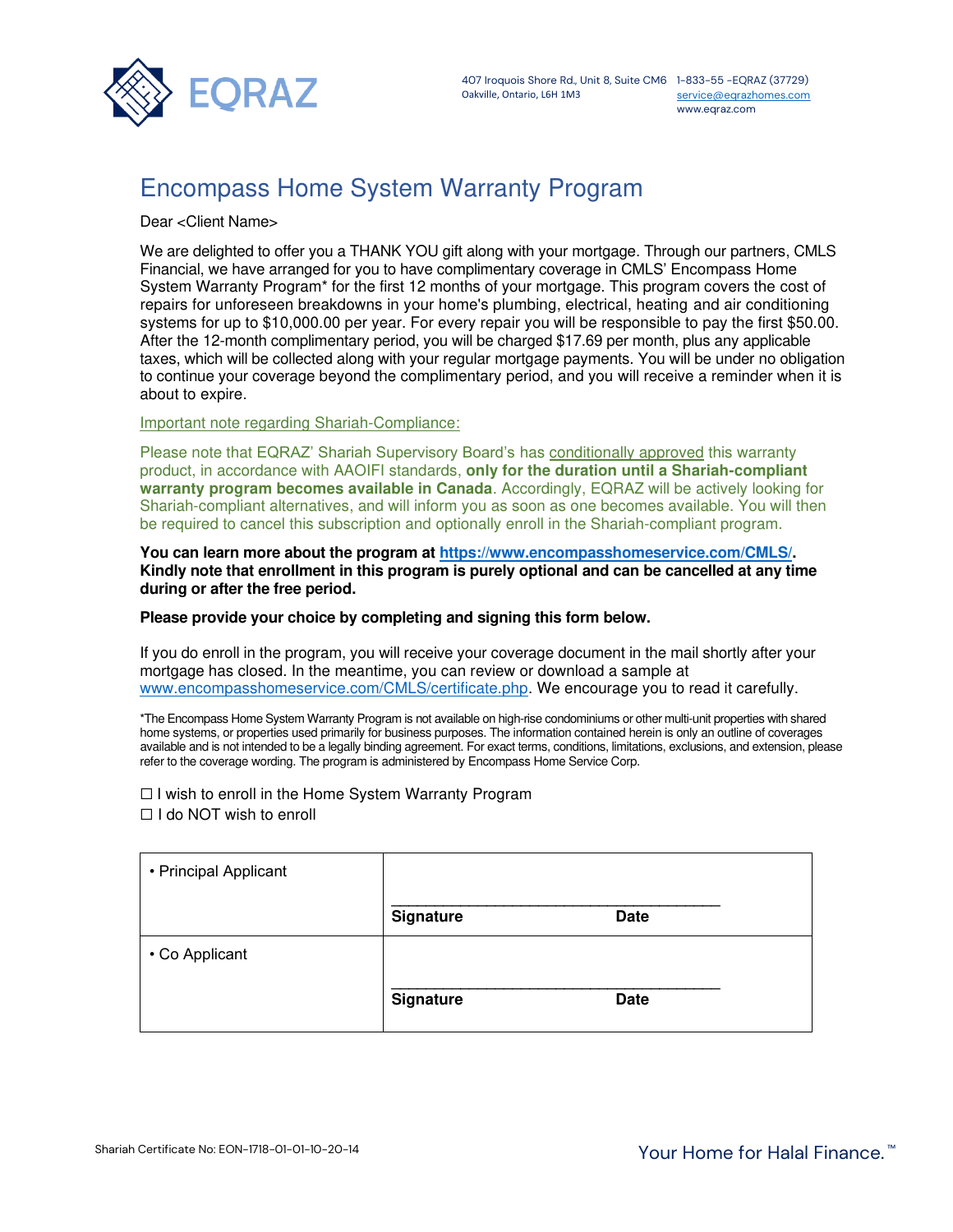

[service@eqrazhomes.com](mailto:service@eqrazhomes.com) www.eqraz.com

# Encompass Home System Warranty Program

Dear <Client Name>

We are delighted to offer you a THANK YOU gift along with your mortgage. Through our partners, CMLS Financial, we have arranged for you to have complimentary coverage in CMLS' Encompass Home System Warranty Program\* for the first 12 months of your mortgage. This program covers the cost of repairs for unforeseen breakdowns in your home's plumbing, electrical, heating and air conditioning systems for up to \$10,000.00 per year. For every repair you will be responsible to pay the first \$50.00. After the 12-month complimentary period, you will be charged \$17.69 per month, plus any applicable taxes, which will be collected along with your regular mortgage payments. You will be under no obligation to continue your coverage beyond the complimentary period, and you will receive a reminder when it is about to expire.

Important note regarding Shariah-Compliance:

Please note that EQRAZ' Shariah Supervisory Board's has conditionally approved this warranty product, in accordance with AAOIFI standards, **only for the duration until a Shariah-compliant warranty program becomes available in Canada**. Accordingly, EQRAZ will be actively looking for Shariah-compliant alternatives, and will inform you as soon as one becomes available. You will then be required to cancel this subscription and optionally enroll in the Shariah-compliant program.

**You can learn more about the program at [https://www.encompasshomeservice.com/CMLS/.](https://www.encompasshomeservice.com/CMLS/) Kindly note that enrollment in this program is purely optional and can be cancelled at any time during or after the free period.** 

#### **Please provide your choice by completing and signing this form below.**

If you do enroll in the program, you will receive your coverage document in the mail shortly after your mortgage has closed. In the meantime, you can review or download a sample at [www.encompasshomeservice.com/CMLS/certificate.php.](http://www.encompasshomeservice.com/CMLS/certificate.php) We encourage you to read it carefully.

\*The Encompass Home System Warranty Program is not available on high-rise condominiums or other multi-unit properties with shared home systems, or properties used primarily for business purposes. The information contained herein is only an outline of coverages available and is not intended to be a legally binding agreement. For exact terms, conditions, limitations, exclusions, and extension, please refer to the coverage wording. The program is administered by Encompass Home Service Corp.

☐ I wish to enroll in the Home System Warranty Program

□ I do NOT wish to enroll

| • Principal Applicant |                  |             |
|-----------------------|------------------|-------------|
|                       | Signature        | <b>Date</b> |
| • Co Applicant        |                  |             |
|                       | <b>Signature</b> | <b>Date</b> |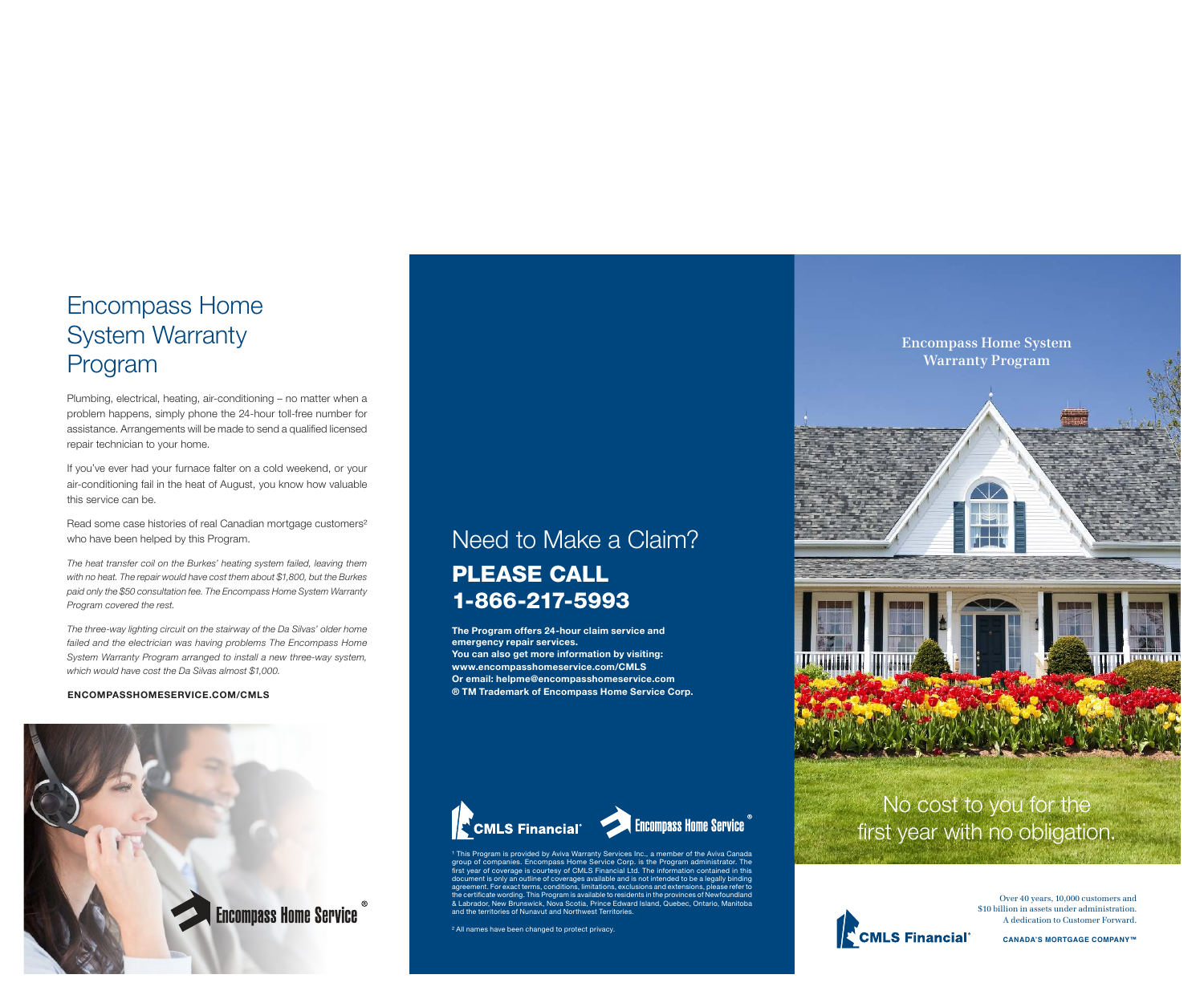# Encompass Home System Warranty Program

Plumbing, electrical, heating, air-conditioning – no matter when a problem happens, simply phone the 24-hour toll-free number for assistance. Arrangements will be made to send a qualified licensed repair technician to your home.

If you've ever had your furnace falter on a cold weekend, or your air-conditioning fail in the heat of August, you know how valuable this service can be.

Read some case histories of real Canadian mortgage customers² who have been helped by this Program.

The heat transfer coil on the Burkes' heating system failed, leaving them with no heat. The repair would have cost them about \$1,800, but the Burkes paid only the \$50 consultation fee. The Encompass Home System Warranty Program covered the rest.

The three-way lighting circuit on the stairway of the Da Silvas' older home failed and the electrician was having problems The Encompass Home System Warranty Program arranged to install a new three-way system, which would have cost the Da Silvas almost \$1,000.

#### ENCOMPASSHOMESERVICE.COM/CMLS



# Need to Make a Claim? PLEASE CALL 1-866-217-5993

The Program offers 24-hour claim service and emergency repair services. You can also get more information by visiting: www.encompasshomeservice.com/CMLS Or email: helpme@encompasshomeservice.com ® TM Trademark of Encompass Home Service Corp.



<sup>1</sup> This Program is provided by Aviva Warranty Services Inc., a member of the Aviva Canada, group of companies. Encompass Home Service Corp. is the Program administrator. The first year of coverage is courtesy of CMLS Financial Ltd. The information contained in this document is only an outline of coverages available and is not intended to be a legally binding nent. For exact terms, conditions, limitations, exclusions and extensions, please refer to the certificate wording. This Program is available to residents in the provinces of Newfoundland & Labrador, New Brunswick, Nova Scotia, Prince Edward Island, Quebec, Ontario, Manitoba and the territories of Nunavut and Northwest Territories.

² All names have been changed to protect privacy.

**Encompass Home System Warranty Program**



# No cost to you for the first year with no obligation.



Over 40 years, 10,000 customers and \$10 billion in assets under administration. A dedication to Customer Forward.

**CANADA'S MORTGAGE COMPANY™**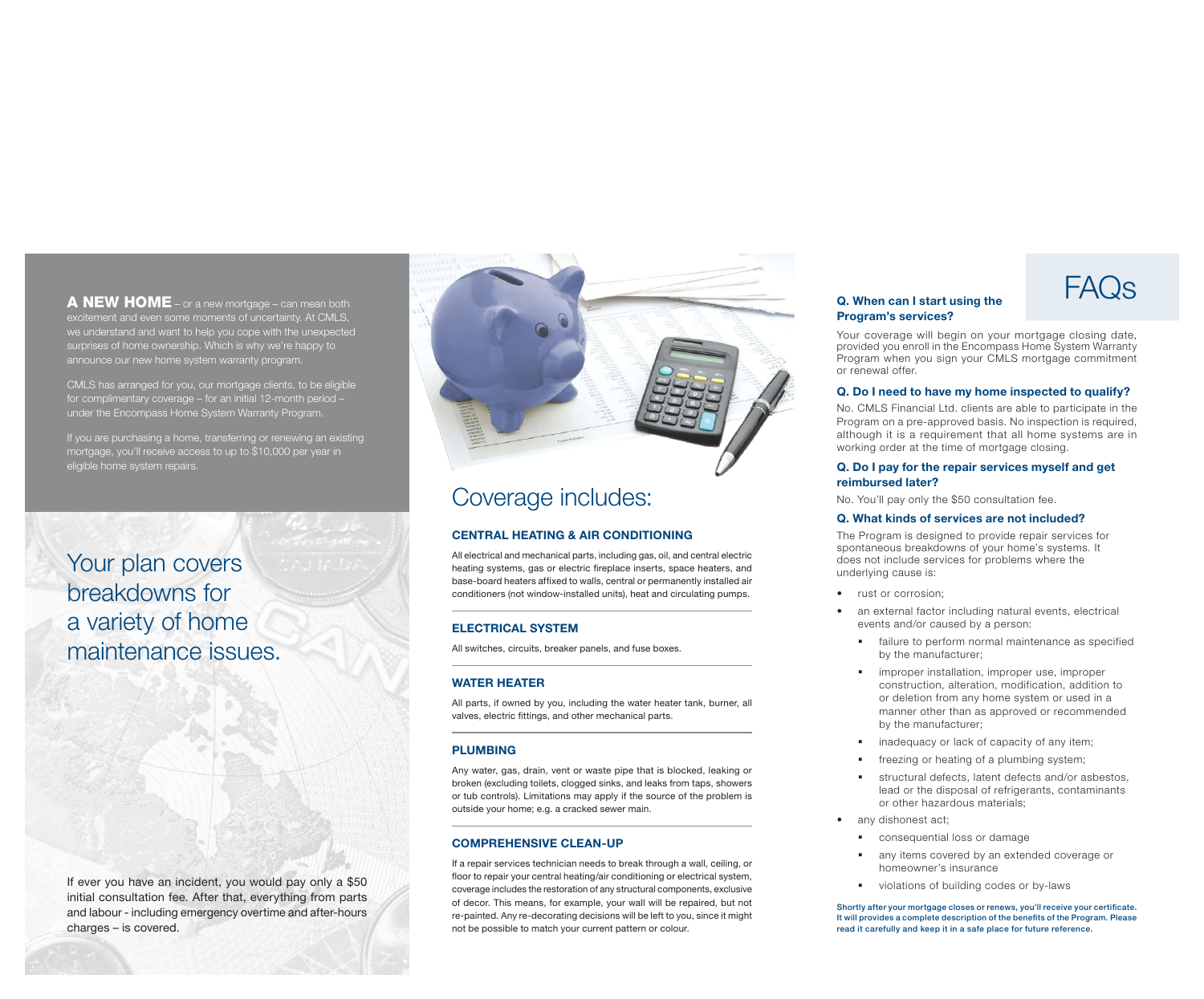A NEW HOME – or a new mortgage – can mean both excitement and even some moments of uncertainty. At CMLS, we understand and want to help you cope with the unexpected surprises of home ownership. Which is why we're happy to announce our new home system warranty program.

CMLS has arranged for you, our mortgage clients, to be eligible for complimentary coverage – for an initial 12-month period – under the Encompass Home System Warranty Program.

If you are purchasing a home, transferring or renewing an existing mortgage, you'll receive access to up to \$10,000 per year in eligible home system repairs.

# Your plan covers breakdowns for a variety of home maintenance issues.

If ever you have an incident, you would pay only a \$50 initial consultation fee. After that, everything from parts and labour - including emergency overtime and after-hours charges – is covered.



# Coverage includes:

#### CENTRAL HEATING & AIR CONDITIONING

All electrical and mechanical parts, including gas, oil, and central electric heating systems, gas or electric fireplace inserts, space heaters, and base-board heaters affixed to walls, central or permanently installed air conditioners (not window-installed units), heat and circulating pumps.

### ELECTRICAL SYSTEM

All switches, circuits, breaker panels, and fuse boxes.

### WATER HEATER

All parts, if owned by you, including the water heater tank, burner, all valves, electric fittings, and other mechanical parts.

# PLUMBING

Any water, gas, drain, vent or waste pipe that is blocked, leaking or broken (excluding toilets, clogged sinks, and leaks from taps, showers or tub controls). Limitations may apply if the source of the problem is outside your home; e.g. a cracked sewer main.

### COMPREHENSIVE CLEAN-UP

If a repair services technician needs to break through a wall, ceiling, or floor to repair your central heating/air conditioning or electrical system, coverage includes the restoration of any structural components, exclusive of decor. This means, for example, your wall will be repaired, but not re-painted. Any re-decorating decisions will be left to you, since it might not be possible to match your current pattern or colour.

## Q. When can I start using the Program's services?

Your coverage will begin on your mortgage closing date, provided you enroll in the Encompass Home System Warranty Program when you sign your CMLS mortgage commitment or renewal offer.

### Q. Do I need to have my home inspected to qualify?

No. CMLS Financial Ltd. clients are able to participate in the Program on a pre-approved basis. No inspection is required, although it is a requirement that all home systems are in working order at the time of mortgage closing.

#### Q. Do I pay for the repair services myself and get reimbursed later?

No. You'll pay only the \$50 consultation fee.

#### Q. What kinds of services are not included?

The Program is designed to provide repair services for spontaneous breakdowns of your home's systems. It does not include services for problems where the underlying cause is:

- rust or corrosion:
- an external factor including natural events, electrical events and/or caused by a person:
	- **•** failure to perform normal maintenance as specified by the manufacturer;
	- **•** improper installation, improper use, improper construction, alteration, modification, addition to or deletion from any home system or used in a manner other than as approved or recommended by the manufacturer;
	- inadequacy or lack of capacity of any item;
	- freezing or heating of a plumbing system;
	- § structural defects, latent defects and/or asbestos, lead or the disposal of refrigerants, contaminants or other hazardous materials;
- any dishonest act;
	- consequential loss or damage
	- any items covered by an extended coverage or homeowner's insurance
	- violations of building codes or by-laws

Shortly after your mortgage closes or renews, you'll receive your certificate. It will provides a complete description of the benefits of the Program. Please read it carefully and keep it in a safe place for future reference.

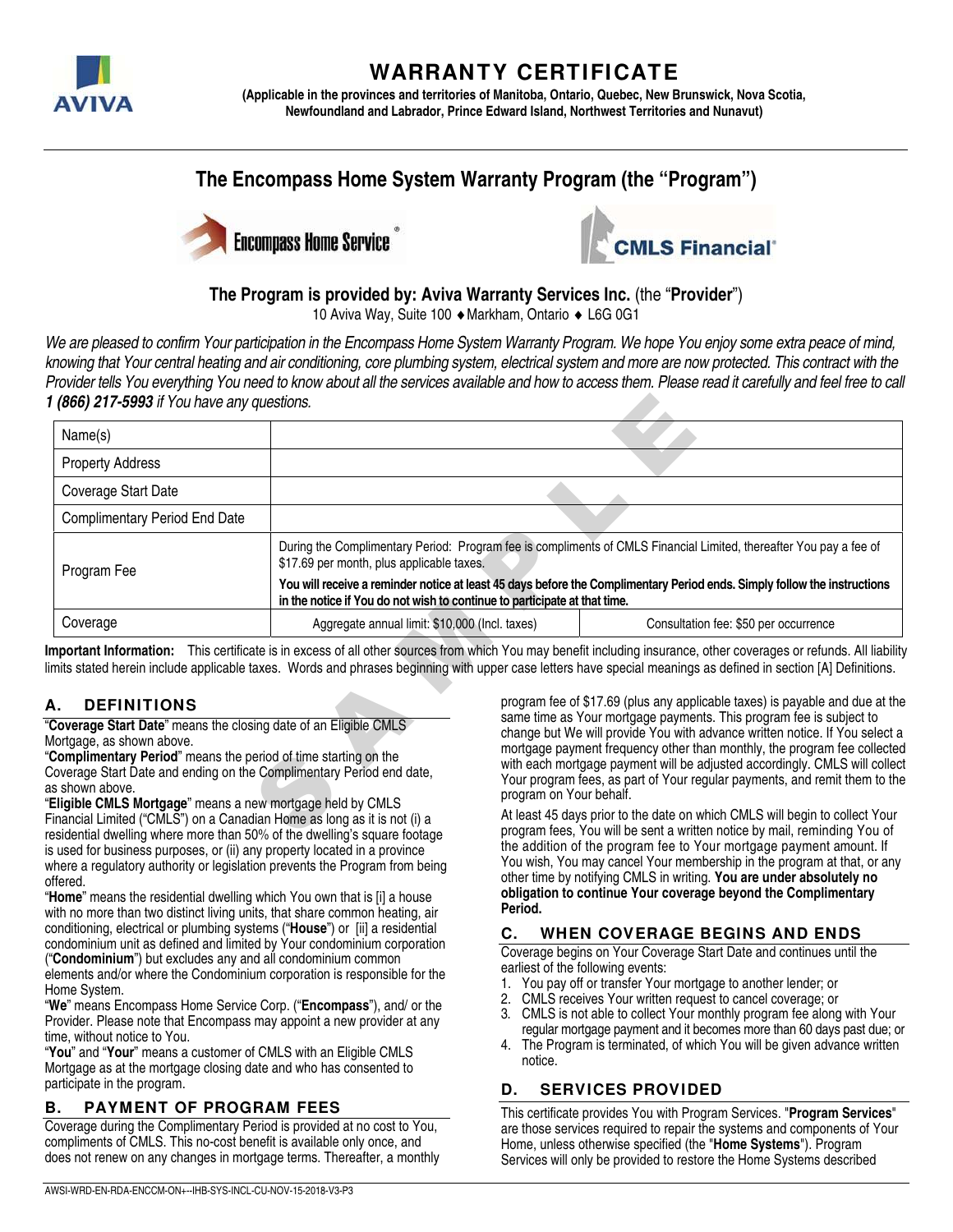

# **WARRANTY CERTIFICATE**

**(Applicable in the provinces and territories of Manitoba, Ontario, Quebec, New Brunswick, Nova Scotia, Newfoundland and Labrador, Prince Edward Island, Northwest Territories and Nunavut)** 

# **The Encompass Home System Warranty Program (the "Program")**





# **The Program is provided by: Aviva Warranty Services Inc.** (the "**Provider**")

10 Aviva Way, Suite 100 Markham, Ontario L6G 0G1

We are pleased to confirm Your participation in the Encompass Home System Warranty Program. We hope You enjoy some extra peace of mind, knowing that Your central heating and air conditioning, core plumbing system, electrical system and more are now protected. This contract with the Provider tells You everything You need to know about all the services available and how to access them. Please read it carefully and feel free to call **1 (866) 217-5993** if You have any questions.

| 1 (866) 217-5993 if You have any questions.                                                                                                                                                                                                                                                                            |                                                                                                                                                                                                       |                                                                                                                                                                                                                                                                                                                                                |                                                                                                                                                                                                                                                                                                                                                                                                                                                                                             |  |
|------------------------------------------------------------------------------------------------------------------------------------------------------------------------------------------------------------------------------------------------------------------------------------------------------------------------|-------------------------------------------------------------------------------------------------------------------------------------------------------------------------------------------------------|------------------------------------------------------------------------------------------------------------------------------------------------------------------------------------------------------------------------------------------------------------------------------------------------------------------------------------------------|---------------------------------------------------------------------------------------------------------------------------------------------------------------------------------------------------------------------------------------------------------------------------------------------------------------------------------------------------------------------------------------------------------------------------------------------------------------------------------------------|--|
| Name(s)                                                                                                                                                                                                                                                                                                                |                                                                                                                                                                                                       |                                                                                                                                                                                                                                                                                                                                                |                                                                                                                                                                                                                                                                                                                                                                                                                                                                                             |  |
| <b>Property Address</b>                                                                                                                                                                                                                                                                                                |                                                                                                                                                                                                       |                                                                                                                                                                                                                                                                                                                                                |                                                                                                                                                                                                                                                                                                                                                                                                                                                                                             |  |
| Coverage Start Date                                                                                                                                                                                                                                                                                                    |                                                                                                                                                                                                       |                                                                                                                                                                                                                                                                                                                                                |                                                                                                                                                                                                                                                                                                                                                                                                                                                                                             |  |
| <b>Complimentary Period End Date</b>                                                                                                                                                                                                                                                                                   |                                                                                                                                                                                                       |                                                                                                                                                                                                                                                                                                                                                |                                                                                                                                                                                                                                                                                                                                                                                                                                                                                             |  |
| Program Fee                                                                                                                                                                                                                                                                                                            | During the Complimentary Period: Program fee is compliments of CMLS Financial Limited, thereafter You pay a fee of<br>\$17.69 per month, plus applicable taxes.                                       |                                                                                                                                                                                                                                                                                                                                                |                                                                                                                                                                                                                                                                                                                                                                                                                                                                                             |  |
|                                                                                                                                                                                                                                                                                                                        | You will receive a reminder notice at least 45 days before the Complimentary Period ends. Simply follow the instructions<br>in the notice if You do not wish to continue to participate at that time. |                                                                                                                                                                                                                                                                                                                                                |                                                                                                                                                                                                                                                                                                                                                                                                                                                                                             |  |
| Coverage                                                                                                                                                                                                                                                                                                               | Aggregate annual limit: \$10,000 (Incl. taxes)                                                                                                                                                        |                                                                                                                                                                                                                                                                                                                                                | Consultation fee: \$50 per occurrence                                                                                                                                                                                                                                                                                                                                                                                                                                                       |  |
| <b>DEFINITIONS</b><br>А.                                                                                                                                                                                                                                                                                               |                                                                                                                                                                                                       |                                                                                                                                                                                                                                                                                                                                                | mportant Information: This certificate is in excess of all other sources from which You may benefit including insurance, other coverages or refunds. All liability<br>imits stated herein include applicable taxes. Words and phrases beginning with upper case letters have special meanings as defined in section [A] Definitions.<br>program fee of \$17.69 (plus any applicable taxes) is payable and due at the<br>same time as Your mortgage payments. This program fee is subject to |  |
| Coverage Start Date" means the closing date of an Eligible CMLS<br>Mortgage, as shown above.<br>Complimentary Period" means the period of time starting on the<br>Coverage Start Date and ending on the Complimentary Period end date,<br>as shown above.<br>Eligible CMLS Mortgage" means a new mortgage held by CMLS |                                                                                                                                                                                                       | change but We will provide You with advance written notice. If You select a<br>mortgage payment frequency other than monthly, the program fee collected<br>with each mortgage payment will be adjusted accordingly. CMLS will collect<br>Your program fees, as part of Your regular payments, and remit them to the<br>program on Your behalf. |                                                                                                                                                                                                                                                                                                                                                                                                                                                                                             |  |
| Financial Limited ("CMLS") on a Canadian Home as long as it is not (i) a<br>residential dwelling where more than 50% of the dwelling's square footage                                                                                                                                                                  |                                                                                                                                                                                                       |                                                                                                                                                                                                                                                                                                                                                | At least 45 days prior to the date on which CMLS will begin to collect Your<br>program fees, You will be sent a written notice by mail, reminding You of                                                                                                                                                                                                                                                                                                                                    |  |

# **A. DEFINITIONS**

"Eligible CMLS Mortgage" means a new mortgage held by CMLS Financial Limited ("CMLS") on a Canadian Home as long as it is not (i) a residential dwelling where more than 50% of the dwelling's square footage is used for business purposes, or (ii) any property located in a province where a regulatory authority or legislation prevents the Program from being

offered.<br>"**Home**" means the residential dwelling which You own that is [i] a house with no more than two distinct living units, that share common heating, air conditioning, electrical or plumbing systems ("**House**") or [ii] a residential condominium unit as defined and limited by Your condominium corporation ("**Condominium**") but excludes any and all condominium common

elements and/or where the Condominium corporation is responsible for the Home System.

"We" means Encompass Home Service Corp. ("**Encompass**"), and/ or the Provider. Please note that Encompass may appoint a new provider at any

"You" and "Your" means a customer of CMLS with an Eligible CMLS Mortgage as at the mortgage closing date and who has consented to participate in the program.

# **B. PAYMENT OF PROGRAM FEES**

Coverage during the Complimentary Period is provided at no cost to You, compliments of CMLS. This no-cost benefit is available only once, and does not renew on any changes in mortgage terms. Thereafter, a monthly At least 45 days prior to the date on which CMLS will begin to collect Your program fees, You will be sent a written notice by mail, reminding You of the addition of the program fee to Your mortgage payment amount. If You wish, You may cancel Your membership in the program at that, or any other time by notifying CMLS in writing. **You are under absolutely no obligation to continue Your coverage beyond the Complimentary Period.** 

# **C. WHEN COVERAGE BEGINS AND ENDS**

Coverage begins on Your Coverage Start Date and continues until the earliest of the following events:

- 1. You pay off or transfer Your mortgage to another lender; or
- 2. CMLS receives Your written request to cancel coverage; or
- 3. CMLS is not able to collect Your monthly program fee along with Your regular mortgage payment and it becomes more than 60 days past due; or
- 4. The Program is terminated, of which You will be given advance written notice.

### **D. SERVICES PROVIDED**

This certificate provides You with Program Services. "**Program Services**" are those services required to repair the systems and components of Your Home, unless otherwise specified (the "**Home Systems**"). Program Services will only be provided to restore the Home Systems described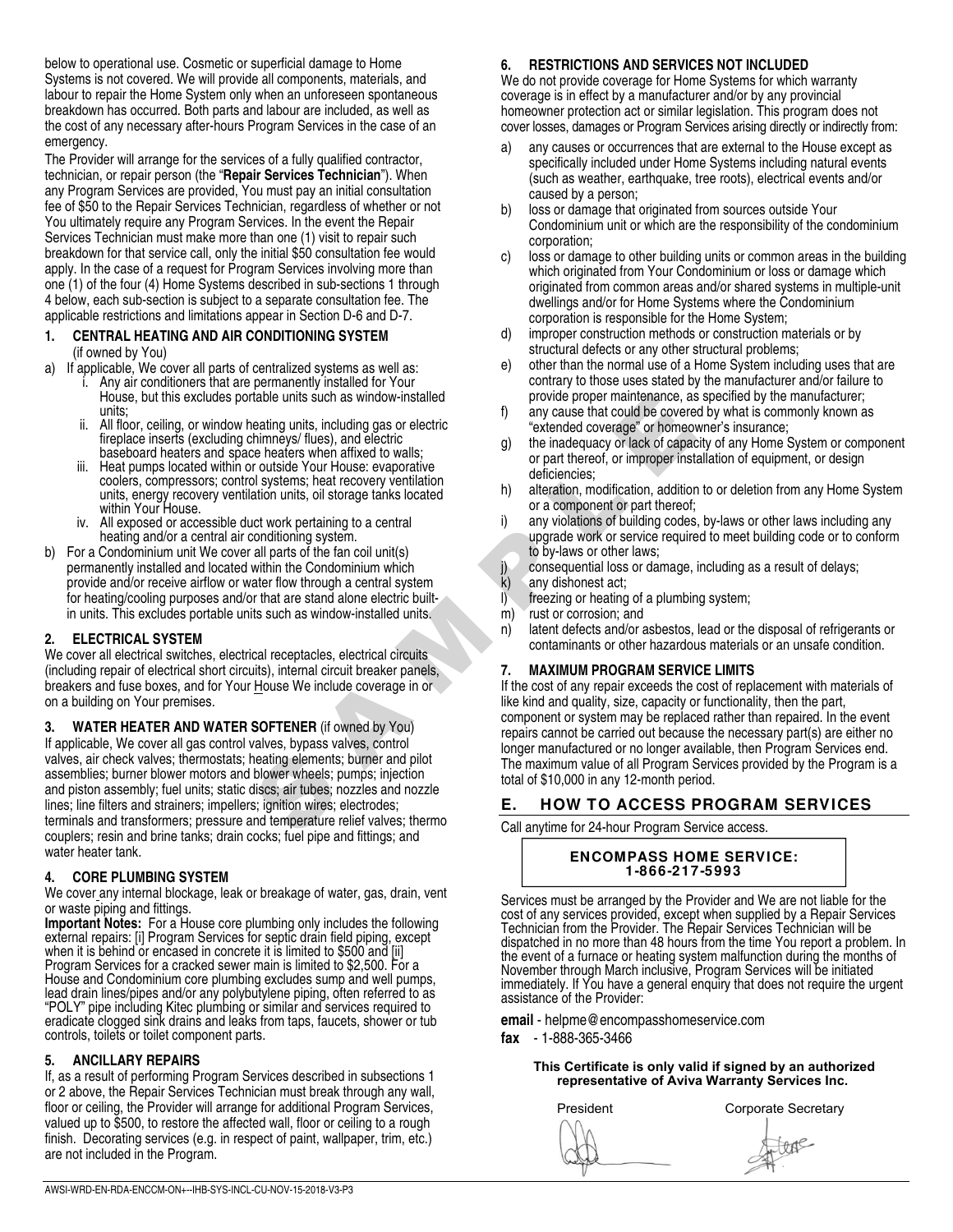below to operational use. Cosmetic or superficial damage to Home Systems is not covered. We will provide all components, materials, and labour to repair the Home System only when an unforeseen spontaneous breakdown has occurred. Both parts and labour are included, as well as the cost of any necessary after-hours Program Services in the case of an emergency.

The Provider will arrange for the services of a fully qualified contractor, technician, or repair person (the "**Repair Services Technician**"). When any Program Services are provided, You must pay an initial consultation fee of \$50 to the Repair Services Technician, regardless of whether or not You ultimately require any Program Services. In the event the Repair Services Technician must make more than one (1) visit to repair such breakdown for that service call, only the initial \$50 consultation fee would apply. In the case of a request for Program Services involving more than one (1) of the four (4) Home Systems described in sub-sections 1 through 4 below, each sub-section is subject to a separate consultation fee. The applicable restrictions and limitations appear in Section D-6 and D-7.

#### **1. CENTRAL HEATING AND AIR CONDITIONING SYSTEM**  (if owned by You)

- a) If applicable, We cover all parts of centralized systems as well as: i. Any air conditioners that are permanently installed for Your
	- House, but this excludes portable units such as window-installed units;
	- ii. All floor, ceiling, or window heating units, including gas or electric fireplace inserts (excluding chimneys/ flues), and electric baseboard heaters and space heaters when affixed to walls;
	- iii. Heat pumps located within or outside Your House: evaporative coolers, compressors; control systems; heat recovery ventilation units, energy recovery ventilation units, oil storage tanks located within Your House.
	- iv. All exposed or accessible duct work pertaining to a central heating and/or a central air conditioning system.
- b) For a Condominium unit We cover all parts of the fan coil unit(s) permanently installed and located within the Condominium which provide and/or receive airflow or water flow through a central system for heating/cooling purposes and/or that are stand alone electric builtin units. This excludes portable units such as window-installed units.

#### **2. ELECTRICAL SYSTEM**

We cover all electrical switches, electrical receptacles, electrical circuits (including repair of electrical short circuits), internal circuit breaker panels, breakers and fuse boxes, and for Your House We include coverage in or on a building on Your premises.

**3. WATER HEATER AND WATER SOFTENER** (if owned by You) If applicable, We cover all gas control valves, bypass valves, control valves, air check valves; thermostats; heating elements; burner and pilot assemblies; burner blower motors and blower wheels; pumps; injection and piston assembly; fuel units; static discs; air tubes; nozzles and nozzle lines; line filters and strainers; impellers; ignition wires; electrodes; terminals and transformers; pressure and temperature relief valves; thermo couplers; resin and brine tanks; drain cocks; fuel pipe and fittings; and water heater tank.

### **4. CORE PLUMBING SYSTEM**

We cover any internal blockage, leak or breakage of water, gas, drain, vent or waste piping and fittings.

**Important Notes:** For a House core plumbing only includes the following external repairs: [i] Program Services for septic drain field piping, except when it is behind or encased in concrete it is limited to \$500 and [ii] Program Services for a cracked sewer main is limited to \$2,500. For a House and Condominium core plumbing excludes sump and well pumps, lead drain lines/pipes and/or any polybutylene piping, often referred to as "POLY" pipe including Kitec plumbing or similar and services required to eradicate clogged sink drains and leaks from taps, faucets, shower or tub controls, toilets or toilet component parts.

#### **5. ANCILLARY REPAIRS**

If, as a result of performing Program Services described in subsections 1 or 2 above, the Repair Services Technician must break through any wall, floor or ceiling, the Provider will arrange for additional Program Services, valued up to \$500, to restore the affected wall, floor or ceiling to a rough finish. Decorating services (e.g. in respect of paint, wallpaper, trim, etc.) are not included in the Program.

### **6. RESTRICTIONS AND SERVICES NOT INCLUDED**

We do not provide coverage for Home Systems for which warranty coverage is in effect by a manufacturer and/or by any provincial homeowner protection act or similar legislation. This program does not cover losses, damages or Program Services arising directly or indirectly from:

- a) any causes or occurrences that are external to the House except as specifically included under Home Systems including natural events (such as weather, earthquake, tree roots), electrical events and/or caused by a person;
- b) loss or damage that originated from sources outside Your Condominium unit or which are the responsibility of the condominium corporation;
- c) loss or damage to other building units or common areas in the building which originated from Your Condominium or loss or damage which originated from common areas and/or shared systems in multiple-unit dwellings and/or for Home Systems where the Condominium corporation is responsible for the Home System;
- d) improper construction methods or construction materials or by structural defects or any other structural problems;
- e) other than the normal use of a Home System including uses that are contrary to those uses stated by the manufacturer and/or failure to provide proper maintenance, as specified by the manufacturer;
- f) any cause that could be covered by what is commonly known as "extended coverage" or homeowner's insurance;
- g) the inadequacy or lack of capacity of any Home System or component or part thereof, or improper installation of equipment, or design deficiencies;
- h) alteration, modification, addition to or deletion from any Home System or a component or part thereof;
- i) any violations of building codes, by-laws or other laws including any upgrade work or service required to meet building code or to conform to by-laws or other laws;
- j) consequential loss or damage, including as a result of delays;<br>k) any dishonest act;
- any dishonest act;
- l) freezing or heating of a plumbing system;
- m) rust or corrosion; and
- n) latent defects and/or asbestos, lead or the disposal of refrigerants or contaminants or other hazardous materials or an unsafe condition.

#### **7. MAXIMUM PROGRAM SERVICE LIMITS**

table units such as window-installed<br>
any cause that could be covered by<br>
intimeneys flues), and electric<br>
be indequalizy of lack of capacity<br>
intimeneys flues), and electric<br>
to redstring of the indequalizy of lack of cap If the cost of any repair exceeds the cost of replacement with materials of like kind and quality, size, capacity or functionality, then the part, component or system may be replaced rather than repaired. In the event repairs cannot be carried out because the necessary part(s) are either no longer manufactured or no longer available, then Program Services end. The maximum value of all Program Services provided by the Program is a total of \$10,000 in any 12-month period.

# **E. HOW TO ACCESS PROGRAM SERVICES**

Call anytime for 24-hour Program Service access.

**ENCOMPASS HOME SERVICE: 1-866-217-5993** 

Services must be arranged by the Provider and We are not liable for the cost of any services provided, except when supplied by a Repair Services Technician from the Provider. The Repair Services Technician will be dispatched in no more than 48 hours from the time You report a problem. In the event of a furnace or heating system malfunction during the months of November through March inclusive, Program Services will be initiated immediately. If You have a general enquiry that does not require the urgent assistance of the Provider:

- **email** helpme@encompasshomeservice.com
- **fax** 1-888-365-3466

#### **This Certificate is only valid if signed by an authorized representative of Aviva Warranty Services Inc.**

President Corporate Secretary ftore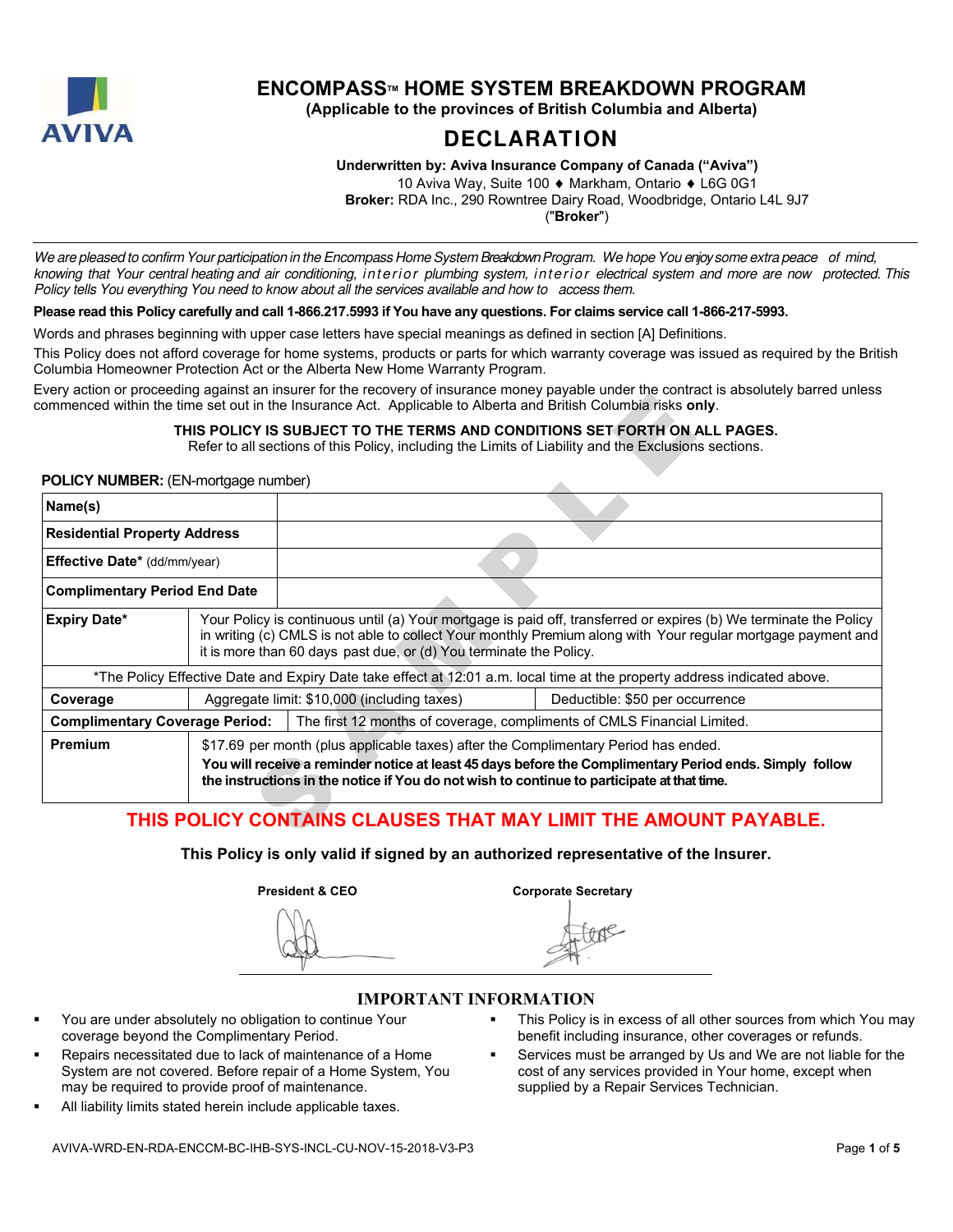

# **ENCOMPASSTM HOME SYSTEM BREAKDOWN PROGRAM**

**(Applicable to the provinces of British Columbia and Alberta)** 

# **DECLARATION**

**Underwritten by: Aviva Insurance Company of Canada ("Aviva")** 

10 Aviva Way, Suite 100 ♦ Markham, Ontario ♦ L6G 0G1

**Broker:** RDA Inc., 290 Rowntree Dairy Road, Woodbridge, Ontario L4L 9J7 ("**Broker**")

We are pleased to confirm Your participation in the Encompass Home System Breakdown Program. We hope You enjoy some extra peace of mind, knowing that Your central heating and air conditioning, interior plumbing system, interior electrical system and more are now protected. This Policy tells You everything You need to know about all the services available and how to access them.

#### **Please read this Policy carefully and call 1-866.217.5993 if You have any questions. For claims service call 1-866-217-5993.**

Words and phrases beginning with upper case letters have special meanings as defined in section [A] Definitions.

This Policy does not afford coverage for home systems, products or parts for which warranty coverage was issued as required by the British Columbia Homeowner Protection Act or the Alberta New Home Warranty Program.

Every action or proceeding against an insurer for the recovery of insurance money payable under the contract is absolutely barred unless commenced within the time set out in the Insurance Act. Applicable to Alberta and British Columbia risks **only**.

#### **THIS POLICY IS SUBJECT TO THE TERMS AND CONDITIONS SET FORTH ON ALL PAGES.**

#### **POLICY NUMBER:** (EN-mortgage number)

|                                            |                                                                                                                                                                                                                                                                                                         | commenced within the time set out in the Insurance Act. Applicable to Alberta and British Columbia risks only.                                                                     | - Tory addition of proceeding against an incarer for the receivery or incarative memory payable ander the contract is absolutely barroa amoco |  |
|--------------------------------------------|---------------------------------------------------------------------------------------------------------------------------------------------------------------------------------------------------------------------------------------------------------------------------------------------------------|------------------------------------------------------------------------------------------------------------------------------------------------------------------------------------|-----------------------------------------------------------------------------------------------------------------------------------------------|--|
|                                            |                                                                                                                                                                                                                                                                                                         | THIS POLICY IS SUBJECT TO THE TERMS AND CONDITIONS SET FORTH ON ALL PAGES.<br>Refer to all sections of this Policy, including the Limits of Liability and the Exclusions sections. |                                                                                                                                               |  |
| <b>POLICY NUMBER:</b> (EN-mortgage number) |                                                                                                                                                                                                                                                                                                         |                                                                                                                                                                                    |                                                                                                                                               |  |
| Name(s)                                    |                                                                                                                                                                                                                                                                                                         |                                                                                                                                                                                    |                                                                                                                                               |  |
| <b>Residential Property Address</b>        |                                                                                                                                                                                                                                                                                                         |                                                                                                                                                                                    |                                                                                                                                               |  |
| Effective Date* (dd/mm/year)               |                                                                                                                                                                                                                                                                                                         |                                                                                                                                                                                    |                                                                                                                                               |  |
| <b>Complimentary Period End Date</b>       |                                                                                                                                                                                                                                                                                                         |                                                                                                                                                                                    |                                                                                                                                               |  |
| <b>Expiry Date*</b>                        | Your Policy is continuous until (a) Your mortgage is paid off, transferred or expires (b) We terminate the Policy<br>in writing (c) CMLS is not able to collect Your monthly Premium along with Your regular mortgage payment and<br>it is more than 60 days past due, or (d) You terminate the Policy. |                                                                                                                                                                                    |                                                                                                                                               |  |
|                                            |                                                                                                                                                                                                                                                                                                         |                                                                                                                                                                                    | *The Policy Effective Date and Expiry Date take effect at 12:01 a.m. local time at the property address indicated above.                      |  |
| Coverage                                   |                                                                                                                                                                                                                                                                                                         | Aggregate limit: \$10,000 (including taxes)                                                                                                                                        | Deductible: \$50 per occurrence                                                                                                               |  |
| <b>Complimentary Coverage Period:</b>      |                                                                                                                                                                                                                                                                                                         | The first 12 months of coverage, compliments of CMLS Financial Limited.                                                                                                            |                                                                                                                                               |  |
| Premium                                    |                                                                                                                                                                                                                                                                                                         | \$17.69 per month (plus applicable taxes) after the Complimentary Period has ended.<br>the instructions in the notice if You do not wish to continue to participate at that time.  | You will receive a reminder notice at least 45 days before the Complimentary Period ends. Simply follow                                       |  |
|                                            |                                                                                                                                                                                                                                                                                                         |                                                                                                                                                                                    | THIS POLICY CONTAINS CLAUSES THAT MAY LIMIT THE AMOUNT PAYABLE.                                                                               |  |

# **THIS POLICY CONTAINS CLAUSES THAT MAY LIMIT THE AMOUNT PAYABLE.**

**This Policy is only valid if signed by an authorized representative of the Insurer.** 

**President & CEO** Corporate Secretary

# **IMPORTANT INFORMATION**

- You are under absolutely no obligation to continue Your coverage beyond the Complimentary Period.
- Repairs necessitated due to lack of maintenance of a Home System are not covered. Before repair of a Home System, You may be required to provide proof of maintenance.
- All liability limits stated herein include applicable taxes.
- This Policy is in excess of all other sources from which You may benefit including insurance, other coverages or refunds.
- Services must be arranged by Us and We are not liable for the cost of any services provided in Your home, except when supplied by a Repair Services Technician.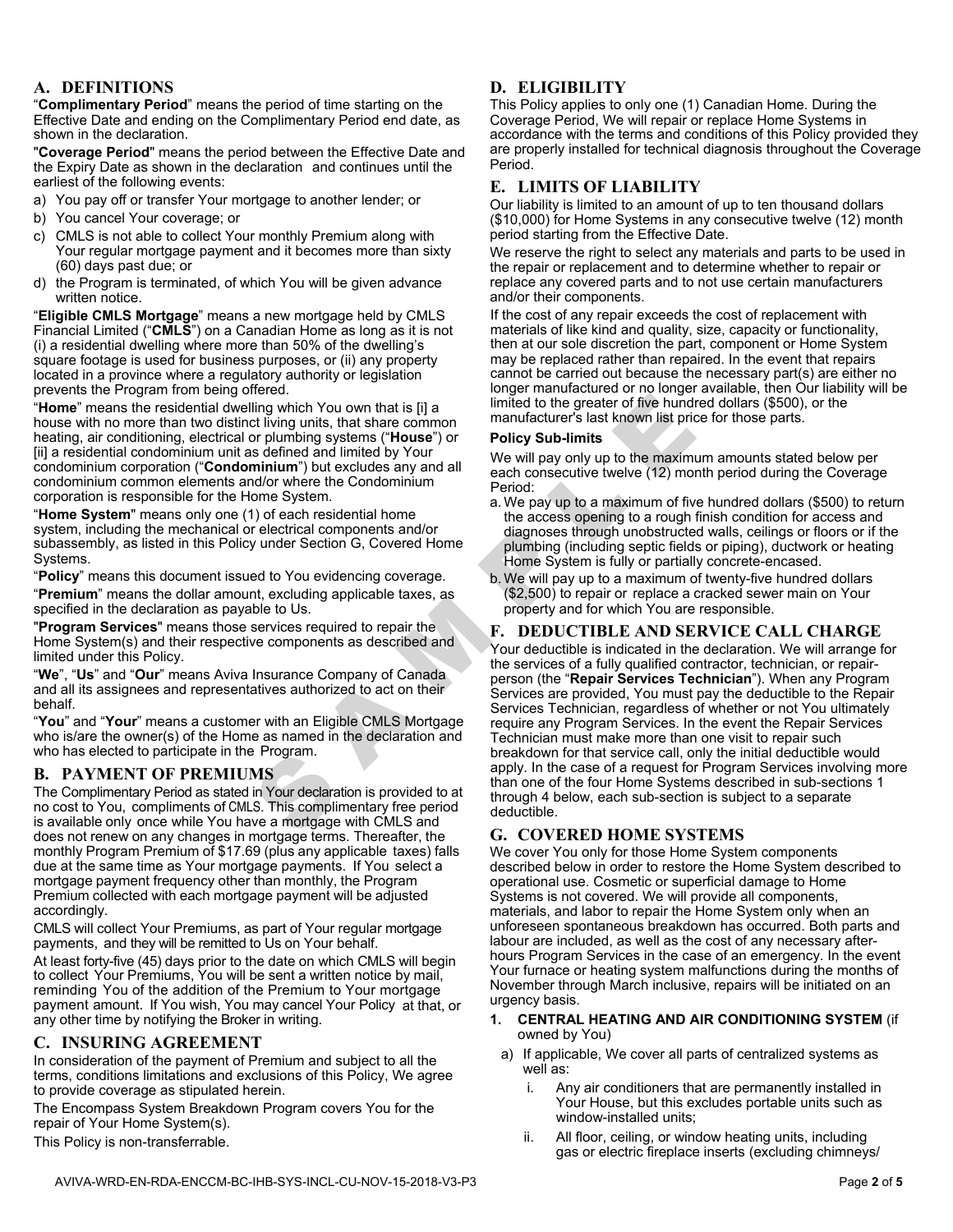#### **A. DEFINITIONS**

"**Complimentary Period**" means the period of time starting on the Effective Date and ending on the Complimentary Period end date, as shown in the declaration. "**Coverage Period**" means the period between the Effective Date and

the Expiry Date as shown in the declaration and continues until the earliest of the following events:

- a) You pay off or transfer Your mortgage to another lender; or
- b) You cancel Your coverage; or
- c) CMLS is not able to collect Your monthly Premium along with Your regular mortgage payment and it becomes more than sixty (60) days past due; or
- d) the Program is terminated, of which You will be given advance written notice.

"**Eligible CMLS Mortgage**" means a new mortgage held by CMLS Financial Limited ("**CMLS**") on a Canadian Home as long as it is not (i) a residential dwelling where more than 50% of the dwelling's square footage is used for business purposes, or (ii) any property located in a province where a regulatory authority or legislation<br>prevents the Program from being offered.

"Home" means the residential dwelling which You own that is [i] a house with no more than two distinct living units, that share common heating, air conditioning, electrical or plumbing systems ("**House**") or [ii] a residential condominium unit as defined and limited by Your condominium corporation ("**Condominium**") but excludes any and all condominium common elements and/or where the Condominium corporation is responsible for the Home System.

"Home System" means only one (1) of each residential home system, including the mechanical or electrical components and/or subassembly, as listed in this Policy under Section G, Covered Home<br>Systems.

Systems. "**Policy**" means this document issued to You evidencing coverage. "**Premium**" means the dollar amount, excluding applicable taxes, as

"Program Services" means those services required to repair the Home System(s) and their respective components as described and limited under this Policy.

"We", "Us" and "Our" means Aviva Insurance Company of Canada and all its assignees and representatives authorized to act on their

behalf. "**You**" and "**Your**" means a customer with an Eligible CMLS Mortgage who is/are the owner(s) of the Home as named in the declaration and who has elected to participate in the Program.

### **B. PAYMENT OF PREMIUMS**

The Complimentary Period as stated in Your declaration is provided to at no cost to You, compliments of CMLS. This complimentary free period is available only once while You have a mortgage with CMLS and does not renew on any changes in mortgage terms. Thereafter, the monthly Program Premium of \$17.69 (plus any applicable taxes) falls due at the same time as Your mortgage payments. If You select a mortgage payment frequency other than monthly, the Program Premium collected with each mortgage payment will be adjusted accordingly.

CMLS will collect Your Premiums, as part of Your regular mortgage payments, and they will be remitted to Us on Your behalf.

At least forty-five (45) days prior to the date on which CMLS will begin to collect Your Premiums, You will be sent a written notice by mail, reminding You of the addition of the Premium to Your mortgage payment amount. If You wish, You may cancel Your Policy at that, or any other time by notifying the Broker in writing.

#### **C. INSURING AGREEMENT**

In consideration of the payment of Premium and subject to all the terms, conditions limitations and exclusions of this Policy, We agree to provide coverage as stipulated herein.

The Encompass System Breakdown Program covers You for the repair of Your Home System(s).

This Policy is non-transferrable.

### **D. ELIGIBILITY**

This Policy applies to only one (1) Canadian Home. During the Coverage Period, We will repair or replace Home Systems in accordance with the terms and conditions of this Policy provided they are properly installed for technical diagnosis throughout the Coverage Period.

#### **E. LIMITS OF LIABILITY**

Our liability is limited to an amount of up to ten thousand dollars (\$10,000) for Home Systems in any consecutive twelve (12) month period starting from the Effective Date.

We reserve the right to select any materials and parts to be used in the repair or replacement and to determine whether to repair or replace any covered parts and to not use certain manufacturers and/or their components.

If the cost of any repair exceeds the cost of replacement with materials of like kind and quality, size, capacity or functionality, then at our sole discretion the part, component or Home System may be replaced rather than repaired. In the event that repairs cannot be carried out because the necessary part(s) are either no longer manufactured or no longer available, then Our liability will be limited to the greater of five hundred dollars (\$500), or the manufacturer's last known list price for those parts.

#### **Policy Sub-limits**

We will pay only up to the maximum amounts stated below per each consecutive twelve (12) month period during the Coverage Period:

- a. We pay up to a maximum of five hundred dollars (\$500) to return the access opening to a rough finish condition for access and diagnoses through unobstructed walls, ceilings or floors or if the plumbing (including septic fields or piping), ductwork or heating Home System is fully or partially concrete-encased.
- b. We will pay up to a maximum of twenty-five hundred dollars (\$2,500) to repair or replace a cracked sewer main on Your property and for which You are responsible.

#### **F. DEDUCTIBLE AND SERVICE CALL CHARGE**

Find which You own that is [i] a<br>
limited to the greater of five hundred triving units, that share common manufacture's last known list price for<br>
triving units, that share common manufacture's last known list price for<br>
o Your deductible is indicated in the declaration. We will arrange for the services of a fully qualified contractor, technician, or repairperson (the "**Repair Services Technician**"). When any Program Services are provided, You must pay the deductible to the Repair Services Technician, regardless of whether or not You ultimately require any Program Services. In the event the Repair Services Technician must make more than one visit to repair such breakdown for that service call, only the initial deductible would apply. In the case of a request for Program Services involving more than one of the four Home Systems described in sub-sections 1 through 4 below, each sub-section is subject to a separate deductible.

### **G. COVERED HOME SYSTEMS**

We cover You only for those Home System components described below in order to restore the Home System described to operational use. Cosmetic or superficial damage to Home Systems is not covered. We will provide all components, materials, and labor to repair the Home System only when an unforeseen spontaneous breakdown has occurred. Both parts and labour are included, as well as the cost of any necessary after hours Program Services in the case of an emergency. In the event Your furnace or heating system malfunctions during the months of November through March inclusive, repairs will be initiated on an urgency basis.

- **1. CENTRAL HEATING AND AIR CONDITIONING SYSTEM** (if owned by You)
	- a) If applicable, We cover all parts of centralized systems as well as:
		- i. Any air conditioners that are permanently installed in Your House, but this excludes portable units such as window-installed units;
		- ii. All floor, ceiling, or window heating units, including gas or electric fireplace inserts (excluding chimneys/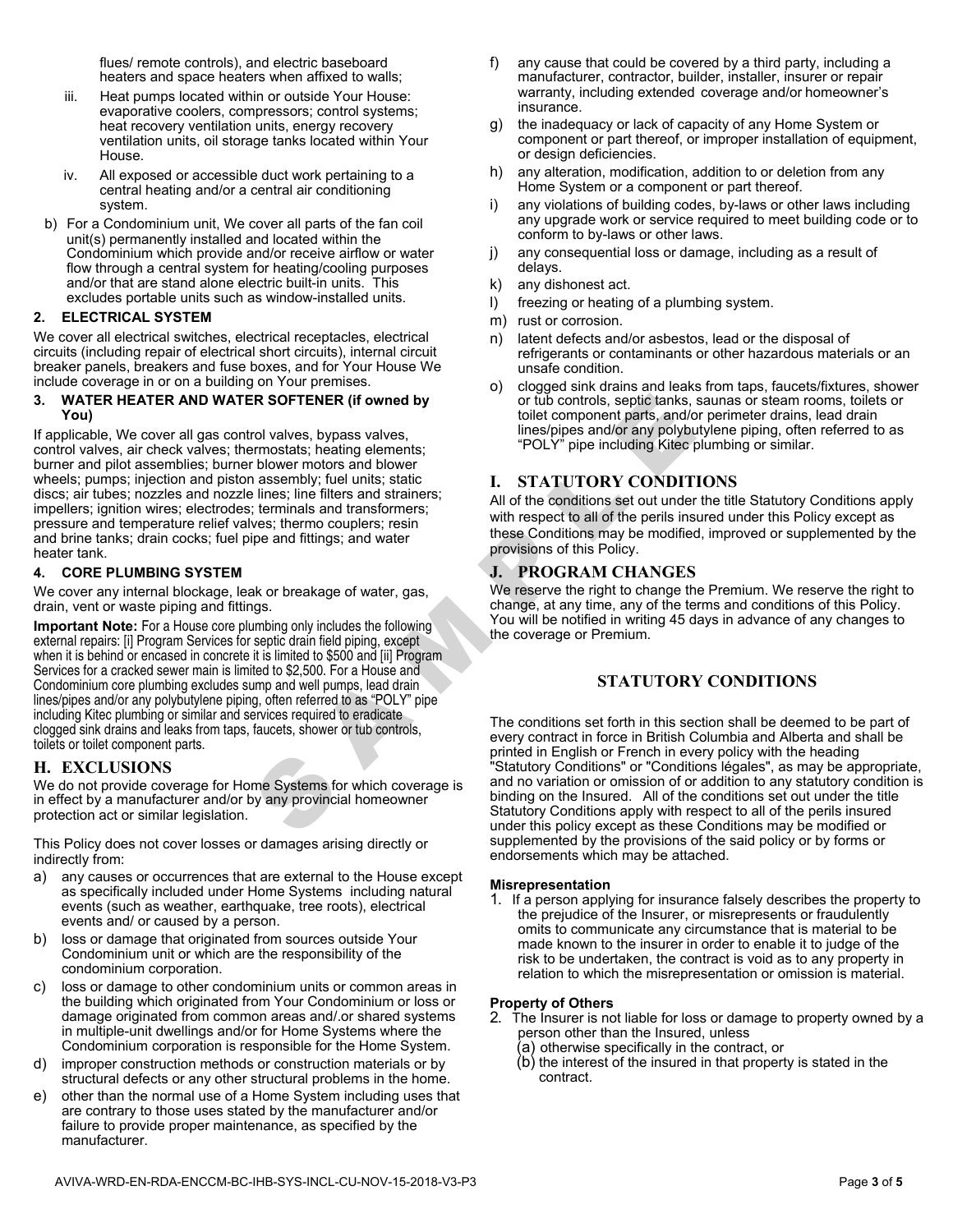flues/ remote controls), and electric baseboard heaters and space heaters when affixed to walls;

- iii. Heat pumps located within or outside Your House: evaporative coolers, compressors; control systems; heat recovery ventilation units, energy recovery ventilation units, oil storage tanks located within Your House.
- iv. All exposed or accessible duct work pertaining to a central heating and/or a central air conditioning system.
- b) For a Condominium unit, We cover all parts of the fan coil unit(s) permanently installed and located within the Condominium which provide and/or receive airflow or water flow through a central system for heating/cooling purposes and/or that are stand alone electric built-in units. This excludes portable units such as window-installed units.

#### **2. ELECTRICAL SYSTEM**

We cover all electrical switches, electrical receptacles, electrical circuits (including repair of electrical short circuits), internal circuit breaker panels, breakers and fuse boxes, and for Your House We include coverage in or on a building on Your premises.

#### **3. WATER HEATER AND WATER SOFTENER (if owned by You)**

If applicable, We cover all gas control valves, bypass valves, control valves, air check valves; thermostats; heating elements; burner and pilot assemblies; burner blower motors and blower wheels; pumps; injection and piston assembly; fuel units; static discs; air tubes; nozzles and nozzle lines; line filters and strainers; impellers; ignition wires; electrodes; terminals and transformers; pressure and temperature relief valves; thermo couplers; resin and brine tanks; drain cocks; fuel pipe and fittings; and water heater tank.

#### **4. CORE PLUMBING SYSTEM**

We cover any internal blockage, leak or breakage of water, gas, drain, vent or waste piping and fittings.

**Important Note:** For a House core plumbing only includes the following external repairs: [i] Program Services for septic drain field piping, except when it is behind or encased in concrete it is limited to \$500 and [ii] Program Services for a cracked sewer main is limited to \$2,500. For a House and Condominium core plumbing excludes sump and well pumps, lead drain lines/pipes and/or any polybutylene piping, often referred to as "POLY" pipe including Kitec plumbing or similar and services required to eradicate clogged sink drains and leaks from taps, faucets, shower or tub controls, toilets or toilet component parts.

#### **H. EXCLUSIONS**

We do not provide coverage for Home Systems for which coverage is in effect by a manufacturer and/or by any provincial homeowner protection act or similar legislation.

This Policy does not cover losses or damages arising directly or indirectly from:

- a) any causes or occurrences that are external to the House except as specifically included under Home Systems including natural events (such as weather, earthquake, tree roots), electrical events and/ or caused by a person.
- b) loss or damage that originated from sources outside Your Condominium unit or which are the responsibility of the condominium corporation.
- c) loss or damage to other condominium units or common areas in the building which originated from Your Condominium or loss or damage originated from common areas and/.or shared systems in multiple-unit dwellings and/or for Home Systems where the Condominium corporation is responsible for the Home System.
- d) improper construction methods or construction materials or by structural defects or any other structural problems in the home.
- e) other than the normal use of a Home System including uses that are contrary to those uses stated by the manufacturer and/or failure to provide proper maintenance, as specified by the manufacturer.
- f) any cause that could be covered by a third party, including a manufacturer, contractor, builder, installer, insurer or repair warranty, including extended coverage and/or homeowner's insurance.
- g) the inadequacy or lack of capacity of any Home System or component or part thereof, or improper installation of equipment, or design deficiencies.
- h) any alteration, modification, addition to or deletion from any Home System or a component or part thereof.
- any violations of building codes, by-laws or other laws including any upgrade work or service required to meet building code or to conform to by-laws or other laws.
- j) any consequential loss or damage, including as a result of delays.
- k) any dishonest act.
- l) freezing or heating of a plumbing system.
- m) rust or corrosion.
- n) latent defects and/or asbestos, lead or the disposal of refrigerants or contaminants or other hazardous materials or an unsafe condition.
- o) clogged sink drains and leaks from taps, faucets/fixtures, shower or tub controls, septic tanks, saunas or steam rooms, toilets or toilet component parts, and/or perimeter drains, lead drain lines/pipes and/or any polybutylene piping, often referred to as "POLY" pipe including Kitec plumbing or similar.

#### **I. STATUTORY CONDITIONS**

All of the conditions set out under the title Statutory Conditions apply with respect to all of the perils insured under this Policy except as these Conditions may be modified, improved or supplemented by the provisions of this Policy.

#### **J. PROGRAM CHANGES**

We reserve the right to change the Premium. We reserve the right to change, at any time, any of the terms and conditions of this Policy. You will be notified in writing 45 days in advance of any changes to the coverage or Premium.

### **STATUTORY CONDITIONS**

**ER SOFTENER (if owned by**<br>
to tub controls, septic tanks, sau<br>
tol valves, bypass valves,<br>
the component parts, and the component parts, and the proper motors and blower<br>
motors and blower<br>
motors and blower<br>
inters and The conditions set forth in this section shall be deemed to be part of every contract in force in British Columbia and Alberta and shall be printed in English or French in every policy with the heading "Statutory Conditions" or "Conditions légales", as may be appropriate, and no variation or omission of or addition to any statutory condition is binding on the Insured. All of the conditions set out under the title Statutory Conditions apply with respect to all of the perils insured under this policy except as these Conditions may be modified or supplemented by the provisions of the said policy or by forms or endorsements which may be attached.

#### **Misrepresentation**

1. If a person applying for insurance falsely describes the property to the prejudice of the Insurer, or misrepresents or fraudulently omits to communicate any circumstance that is material to be made known to the insurer in order to enable it to judge of the risk to be undertaken, the contract is void as to any property in relation to which the misrepresentation or omission is material.

#### **Property of Others**

- 2. The Insurer is not liable for loss or damage to property owned by a person other than the Insured, unless
	- (a) otherwise specifically in the contract, or
	- (b) the interest of the insured in that property is stated in the contract.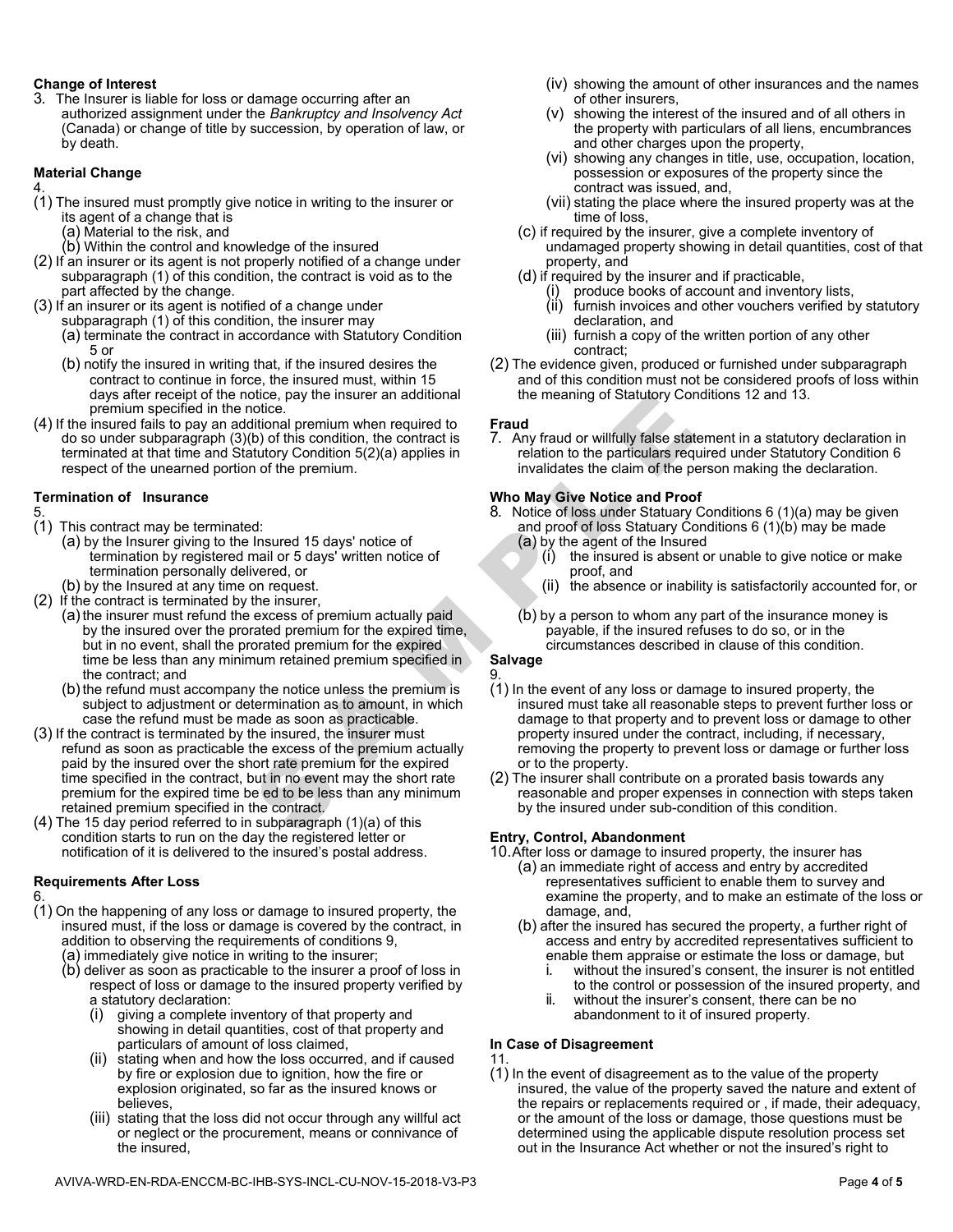#### **Change of Interest**

3. The Insurer is liable for loss or damage occurring after an authorized assignment under the Bankruptcy and Insolvency Act (Canada) or change of title by succession, by operation of law, or by death.

#### **Material Change**

4.

- (1) The insured must promptly give notice in writing to the insurer or its agent of a change that is
	- (a) Material to the risk, and
	- (b) Within the control and knowledge of the insured
- (2) If an insurer or its agent is not properly notified of a change under subparagraph (1) of this condition, the contract is void as to the part affected by the change.
- (3) If an insurer or its agent is notified of a change under subparagraph (1) of this condition, the insurer may
	- (a) terminate the contract in accordance with Statutory Condition 5 or
	- (b) notify the insured in writing that, if the insured desires the contract to continue in force, the insured must, within 15 days after receipt of the notice, pay the insurer an additional premium specified in the notice.
- (4) If the insured fails to pay an additional premium when required to do so under subparagraph (3)(b) of this condition, the contract is terminated at that time and Statutory Condition 5(2)(a) applies in respect of the unearned portion of the premium.

#### **Termination of Insurance**

- 5.
- (1) This contract may be terminated:
	- (a) by the Insurer giving to the Insured 15 days' notice of termination by registered mail or 5 days' written notice of termination personally delivered, or
	- (b) by the Insured at any time on request.
- (2) If the contract is terminated by the insurer,
	- (a) the insurer must refund the excess of premium actually paid by the insured over the prorated premium for the expired time, but in no event, shall the prorated premium for the expired time be less than any minimum retained premium specified in the contract; and
	- (b) the refund must accompany the notice unless the premium is subject to adjustment or determination as to amount, in which case the refund must be made as soon as practicable.
- (3) If the contract is terminated by the insured, the insurer must refund as soon as practicable the excess of the premium actually paid by the insured over the short rate premium for the expired time specified in the contract, but in no event may the short rate premium for the expired time be ed to be less than any minimum retained premium specified in the contract.
- (4) The 15 day period referred to in subparagraph (1)(a) of this condition starts to run on the day the registered letter or notification of it is delivered to the insured's postal address.

#### **Requirements After Loss**

6.

- (1) On the happening of any loss or damage to insured property, the insured must, if the loss or damage is covered by the contract, in addition to observing the requirements of conditions 9,
	- (a) immediately give notice in writing to the insurer;
	- (b) deliver as soon as practicable to the insurer a proof of loss in respect of loss or damage to the insured property verified by a statutory declaration:
		- (i) giving a complete inventory of that property and showing in detail quantities, cost of that property and particulars of amount of loss claimed,
		- (ii) stating when and how the loss occurred, and if caused by fire or explosion due to ignition, how the fire or explosion originated, so far as the insured knows or believes,
		- (iii) stating that the loss did not occur through any willful act or neglect or the procurement, means or connivance of the insured,
- (iv) showing the amount of other insurances and the names of other insurers,
- (v) showing the interest of the insured and of all others in the property with particulars of all liens, encumbrances and other charges upon the property,
- (vi) showing any changes in title, use, occupation, location, possession or exposures of the property since the contract was issued, and,
- (vii) stating the place where the insured property was at the time of loss,
- (c) if required by the insurer, give a complete inventory of undamaged property showing in detail quantities, cost of that property, and
- (d) if required by the insurer and if practicable,
	- produce books of account and inventory lists, (ii) furnish invoices and other vouchers verified by statutory declaration, and
	- (iii) furnish a copy of the written portion of any other contract;
- (2) The evidence given, produced or furnished under subparagraph and of this condition must not be considered proofs of loss within the meaning of Statutory Conditions 12 and 13.

#### **Fraud**

7. Any fraud or willfully false statement in a statutory declaration in relation to the particulars required under Statutory Condition 6 invalidates the claim of the person making the declaration.

#### **Who May Give Notice and Proof**

- 8. Notice of loss under Statuary Conditions 6 (1)(a) may be given and proof of loss Statuary Conditions 6 (1)(b) may be made
	- (a) by the agent of the Insured
		- (i) the insured is absent or unable to give notice or make proof, and
		- (ii) the absence or inability is satisfactorily accounted for, or
	- (b) by a person to whom any part of the insurance money is payable, if the insured refuses to do so, or in the circumstances described in clause of this condition.

#### **Salvage**   $\mathsf q$

- Solutional premium when required to the principal of stationary conduction.<br>
Solution: The contract is a May fraud or willfully false statement<br>
throw Condition 5(2)(a) applies in the metal or of the pernium.<br>
The premium (1) In the event of any loss or damage to insured property, the insured must take all reasonable steps to prevent further loss or damage to that property and to prevent loss or damage to other property insured under the contract, including, if necessary, removing the property to prevent loss or damage or further loss or to the property.
	- (2) The insurer shall contribute on a prorated basis towards any reasonable and proper expenses in connection with steps taken by the insured under sub-condition of this condition.

#### **Entry, Control, Abandonment**

10. After loss or damage to insured property, the insurer has

- (a) an immediate right of access and entry by accredited representatives sufficient to enable them to survey and examine the property, and to make an estimate of the loss or damage, and,
- (b) after the insured has secured the property, a further right of access and entry by accredited representatives sufficient to enable them appraise or estimate the loss or damage, but
	- i. without the insured's consent, the insurer is not entitled to the control or possession of the insured property, and
	- ii. without the insurer's consent, there can be no abandonment to it of insured property.

# **In Case of Disagreement**

11.

(1) In the event of disagreement as to the value of the property insured, the value of the property saved the nature and extent of the repairs or replacements required or , if made, their adequacy, or the amount of the loss or damage, those questions must be determined using the applicable dispute resolution process set out in the Insurance Act whether or not the insured's right to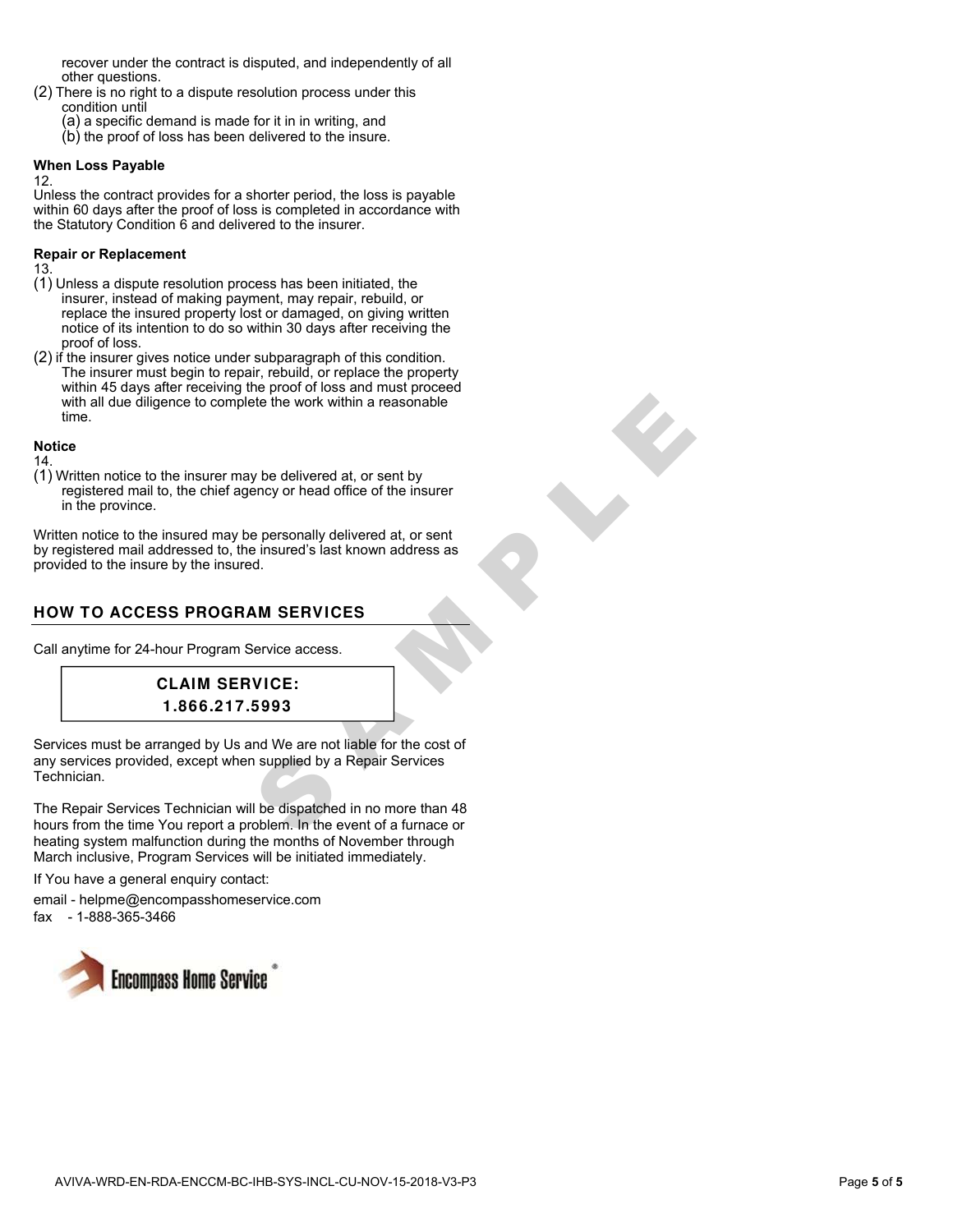recover under the contract is disputed, and independently of all other questions.

- (2) There is no right to a dispute resolution process under this condition until
	- (a) a specific demand is made for it in in writing, and
	- (b) the proof of loss has been delivered to the insure.

#### **When Loss Payable**

12.

Unless the contract provides for a shorter period, the loss is payable within 60 days after the proof of loss is completed in accordance with the Statutory Condition 6 and delivered to the insurer.

#### **Repair or Replacement**

13.

- (1) Unless a dispute resolution process has been initiated, the insurer, instead of making payment, may repair, rebuild, or replace the insured property lost or damaged, on giving written notice of its intention to do so within 30 days after receiving the proof of loss.
- (2) if the insurer gives notice under subparagraph of this condition. The insurer must begin to repair, rebuild, or replace the property within 45 days after receiving the proof of loss and must proceed with all due diligence to complete the work within a reasonable time.

#### **Notice**

14.

(1) Written notice to the insurer may be delivered at, or sent by registered mail to, the chief agency or head office of the insurer in the province.

Written notice to the insured may be personally delivered at, or sent by registered mail addressed to, the insured's last known address as provided to the insure by the insured.

# **HOW TO ACCESS PROGRAM SERVICES**

Call anytime for 24-hour Program Service access.



State the work within a reasonable<br>
State the work within a reasonable<br>
thency or head office of the insurer<br>
the insured's last known address as<br>
A<br>
M SERVICES<br>
Service access.<br>
Service access.<br>
Service access.<br>
Service a Services must be arranged by Us and We are not liable for the cost of any services provided, except when supplied by a Repair Services Technician.

The Repair Services Technician will be dispatched in no more than 48 hours from the time You report a problem. In the event of a furnace or heating system malfunction during the months of November through March inclusive, Program Services will be initiated immediately.

If You have a general enquiry contact:

email - helpme@encompasshomeservice.com fax - 1-888-365-3466

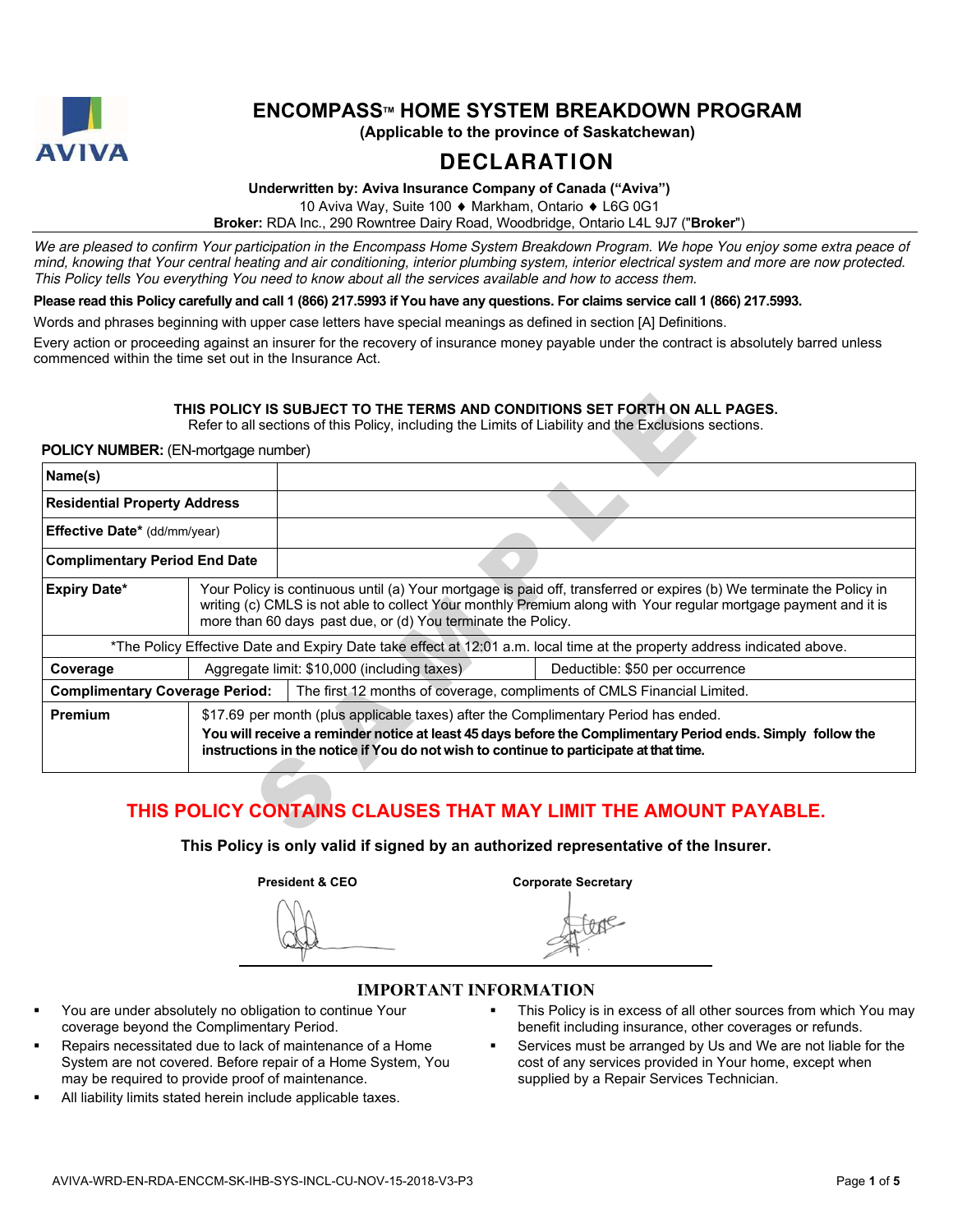

# **ENCOMPASSTM HOME SYSTEM BREAKDOWN PROGRAM**

**(Applicable to the province of Saskatchewan)** 

# **DECLARATION**

**Underwritten by: Aviva Insurance Company of Canada ("Aviva")** 

10 Aviva Way, Suite 100 ♦ Markham, Ontario ♦ L6G 0G1

**Broker:** RDA Inc., 290 Rowntree Dairy Road, Woodbridge, Ontario L4L 9J7 ("**Broke r**")

We are pleased to confirm Your participation in the Encompass Home System Breakdown Program. We hope You enjoy some extra peace of mind, knowing that Your central heating and air conditioning, interior plumbing system, interior electrical system and more are now protected. This Policy tells You everything You need to know about all the services available and how to access them.

**Please read this Policy carefully and call 1 (866) 217.5993 if You have any questions. For claims service call 1 (866) 217.5993.** 

Words and phrases beginning with upper case letters have special meanings as defined in section [A] Definitions.

Every action or proceeding against an insurer for the recovery of insurance money payable under the contract is absolutely barred unless commenced within the time set out in the Insurance Act.

#### **THIS POLICY IS SUBJECT TO THE TERMS AND CONDITIONS SET FORTH ON ALL PAGES.**

#### **POLICY NUMBER:** (EN-mortgage number)

| <b>POLICY NUMBER:</b> (EN-mortgage number) |                                                                                                                                                                                                                                                                                                         |                                                                                                                                                                               |                                                                                                                          |  |
|--------------------------------------------|---------------------------------------------------------------------------------------------------------------------------------------------------------------------------------------------------------------------------------------------------------------------------------------------------------|-------------------------------------------------------------------------------------------------------------------------------------------------------------------------------|--------------------------------------------------------------------------------------------------------------------------|--|
| Name(s)                                    |                                                                                                                                                                                                                                                                                                         |                                                                                                                                                                               |                                                                                                                          |  |
| <b>Residential Property Address</b>        |                                                                                                                                                                                                                                                                                                         |                                                                                                                                                                               |                                                                                                                          |  |
| <b>Effective Date*</b> (dd/mm/year)        |                                                                                                                                                                                                                                                                                                         |                                                                                                                                                                               |                                                                                                                          |  |
| <b>Complimentary Period End Date</b>       |                                                                                                                                                                                                                                                                                                         |                                                                                                                                                                               |                                                                                                                          |  |
| <b>Expiry Date*</b>                        | Your Policy is continuous until (a) Your mortgage is paid off, transferred or expires (b) We terminate the Policy in<br>writing (c) CMLS is not able to collect Your monthly Premium along with Your regular mortgage payment and it is<br>more than 60 days past due, or (d) You terminate the Policy. |                                                                                                                                                                               |                                                                                                                          |  |
|                                            |                                                                                                                                                                                                                                                                                                         |                                                                                                                                                                               | *The Policy Effective Date and Expiry Date take effect at 12:01 a.m. local time at the property address indicated above. |  |
| Coverage                                   |                                                                                                                                                                                                                                                                                                         | Aggregate limit: \$10,000 (including taxes)<br>Deductible: \$50 per occurrence                                                                                                |                                                                                                                          |  |
| <b>Complimentary Coverage Period:</b>      |                                                                                                                                                                                                                                                                                                         |                                                                                                                                                                               | The first 12 months of coverage, compliments of CMLS Financial Limited.                                                  |  |
| Premium                                    |                                                                                                                                                                                                                                                                                                         | \$17.69 per month (plus applicable taxes) after the Complimentary Period has ended.<br>instructions in the notice if You do not wish to continue to participate at that time. | You will receive a reminder notice at least 45 days before the Complimentary Period ends. Simply follow the              |  |

# **THIS POLICY CONTAINS CLAUSES THAT MAY LIMIT THE AMOUNT PAYABLE.**

**This Policy is only valid if signed by an authorized representative of the Insurer.** 

**President & CEO** Corporate Secretary

# **IMPORTANT INFORMATION**

- You are under absolutely no obligation to continue Your coverage beyond the Complimentary Period.
- Repairs necessitated due to lack of maintenance of a Home System are not covered. Before repair of a Home System, You may be required to provide proof of maintenance.
- All liability limits stated herein include applicable taxes.
- This Policy is in excess of all other sources from which You may benefit including insurance, other coverages or refunds.
- Services must be arranged by Us and We are not liable for the cost of any services provided in Your home, except when supplied by a Repair Services Technician.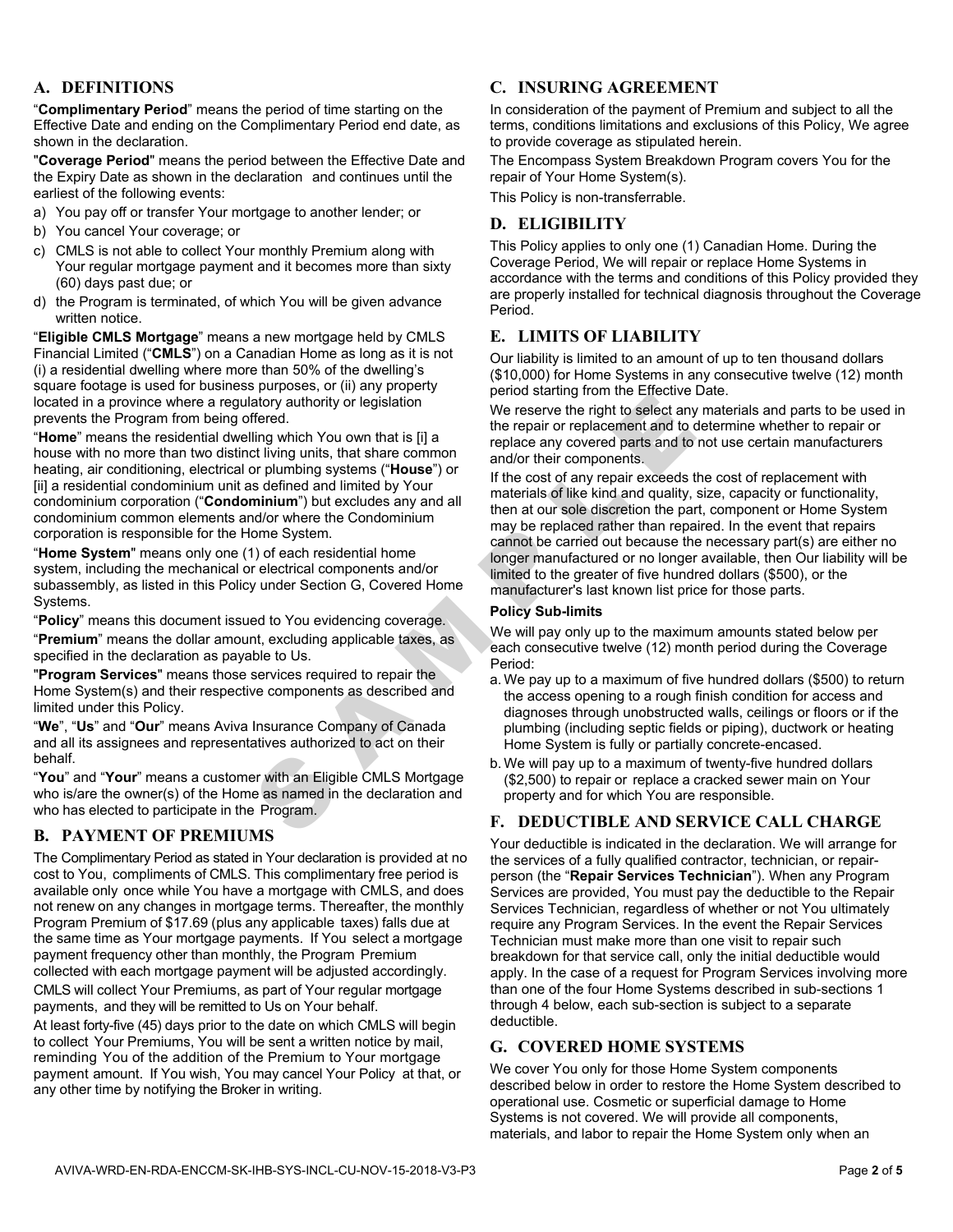### **A. DEFINITIONS**

"**Complimentary Period**" means the period of time starting on the Effective Date and ending on the Complimentary Period end date, as shown in the declaration.<br>"**Coverage Period**" means the period between the Effective Date and

the Expiry Date as shown in the declaration and continues until the earliest of the following events:

- a) You pay off or transfer Your mortgage to another lender; or
- b) You cancel Your coverage; or
- c) CMLS is not able to collect Your monthly Premium along with Your regular mortgage payment and it becomes more than sixty (60) days past due; or
- d) the Program is terminated, of which You will be given advance written notice.

"**Eligible CMLS Mortgage**" means a new mortgage held by CMLS Financial Limited ("**CMLS**") on a Canadian Home as long as it is not (i) a residential dwelling where more than 50% of the dwelling's square footage is used for business purposes, or (ii) any property located in a province where a regulatory authority or legislation prevents the Program from being offered. "**Home**" means the residential dwelling which You own that is [i] a

house with no more than two distinct living units, that share common heating, air conditioning, electrical or plumbing systems ("**House**") or [ii] a residential condominium unit as defined and limited by Your condominium corporation ("**Condominium**") but excludes any and all condominium common elements and/or where the Condominium corporation is responsible for the Home System. "**Home System**" means only one (1) of each residential home

system, including the mechanical or electrical components and/or subassembly, as listed in this Policy under Section G, Covered Home

Systems. "**Policy**" means this document issued to You evidencing coverage. "**Premium**" means the dollar amount, excluding applicable taxes, as specified in the declaration as payable to Us. "**Program Services**" means those services required to repair the

Home System(s) and their respective components as described and limited under this Policy. "**We**", "**Us**" and "**Our**" means Aviva Insurance Company of Canada

and all its assignees and representatives authorized to act on their

behalf. "**You**" and "**Your**" means a customer with an Eligible CMLS Mortgage who is/are the owner(s) of the Home as named in the declaration and who has elected to participate in the Program.

#### **B. PAYMENT OF PREMIUMS**

The Complimentary Period as stated in Your declaration is provided at no cost to You, compliments of CMLS. This complimentary free period is available only once while You have a mortgage with CMLS, and does not renew on any changes in mortgage terms. Thereafter, the monthly Program Premium of \$17.69 (plus any applicable taxes) falls due at the same time as Your mortgage payments. If You select a mortgage payment frequency other than monthly, the Program Premium collected with each mortgage payment will be adjusted accordingly.

CMLS will collect Your Premiums, as part of Your regular mortgage payments, and they will be remitted to Us on Your behalf.

At least forty-five (45) days prior to the date on which CMLS will begin to collect Your Premiums, You will be sent a written notice by mail, reminding You of the addition of the Premium to Your mortgage payment amount. If You wish, You may cancel Your Policy at that, or any other time by notifying the Broker in writing.

#### **C. INSURING AGREEMENT**

In consideration of the payment of Premium and subject to all the terms, conditions limitations and exclusions of this Policy, We agree to provide coverage as stipulated herein.

The Encompass System Breakdown Program covers You for the repair of Your Home System(s).

This Policy is non-transferrable.

#### **D. ELIGIBILITY**

This Policy applies to only one (1) Canadian Home. During the Coverage Period, We will repair or replace Home Systems in accordance with the terms and conditions of this Policy provided they are properly installed for technical diagnosis throughout the Coverage Period.

#### **E. LIMITS OF LIABILITY**

Our liability is limited to an amount of up to ten thousand dollars (\$10,000) for Home Systems in any consecutive twelve (12) month period starting from the Effective Date.

We reserve the right to select any materials and parts to be used in the repair or replacement and to determine whether to repair or replace any covered parts and to not use certain manufacturers and/or their components.

ably with the search of the search of the search of the search in the theorem.<br>
Important the search of the search in the search of the search of the search in the search of the search in the repair or replace any or propu If the cost of any repair exceeds the cost of replacement with materials of like kind and quality, size, capacity or functionality, then at our sole discretion the part, component or Home System may be replaced rather than repaired. In the event that repairs cannot be carried out because the necessary part(s) are either no longer manufactured or no longer available, then Our liability will be limited to the greater of five hundred dollars (\$500), or the manufacturer's last known list price for those parts.

#### **Policy Sub-limits**

We will pay only up to the maximum amounts stated below per each consecutive twelve (12) month period during the Coverage Period:

- a. We pay up to a maximum of five hundred dollars (\$500) to return the access opening to a rough finish condition for access and diagnoses through unobstructed walls, ceilings or floors or if the plumbing (including septic fields or piping), ductwork or heating Home System is fully or partially concrete-encased.
- b. We will pay up to a maximum of twenty-five hundred dollars (\$2,500) to repair or replace a cracked sewer main on Your property and for which You are responsible.

# **F. DEDUCTIBLE AND SERVICE CALL CHARGE**

Your deductible is indicated in the declaration. We will arrange for the services of a fully qualified contractor, technician, or repairperson (the "**Repair Services Technician**"). When any Program Services are provided, You must pay the deductible to the Repair Services Technician, regardless of whether or not You ultimately require any Program Services. In the event the Repair Services Technician must make more than one visit to repair such breakdown for that service call, only the initial deductible would apply. In the case of a request for Program Services involving more than one of the four Home Systems described in sub-sections 1 through 4 below, each sub-section is subject to a separate deductible.

### **G. COVERED HOME SYSTEMS**

We cover You only for those Home System components described below in order to restore the Home System described to operational use. Cosmetic or superficial damage to Home Systems is not covered. We will provide all components, materials, and labor to repair the Home System only when an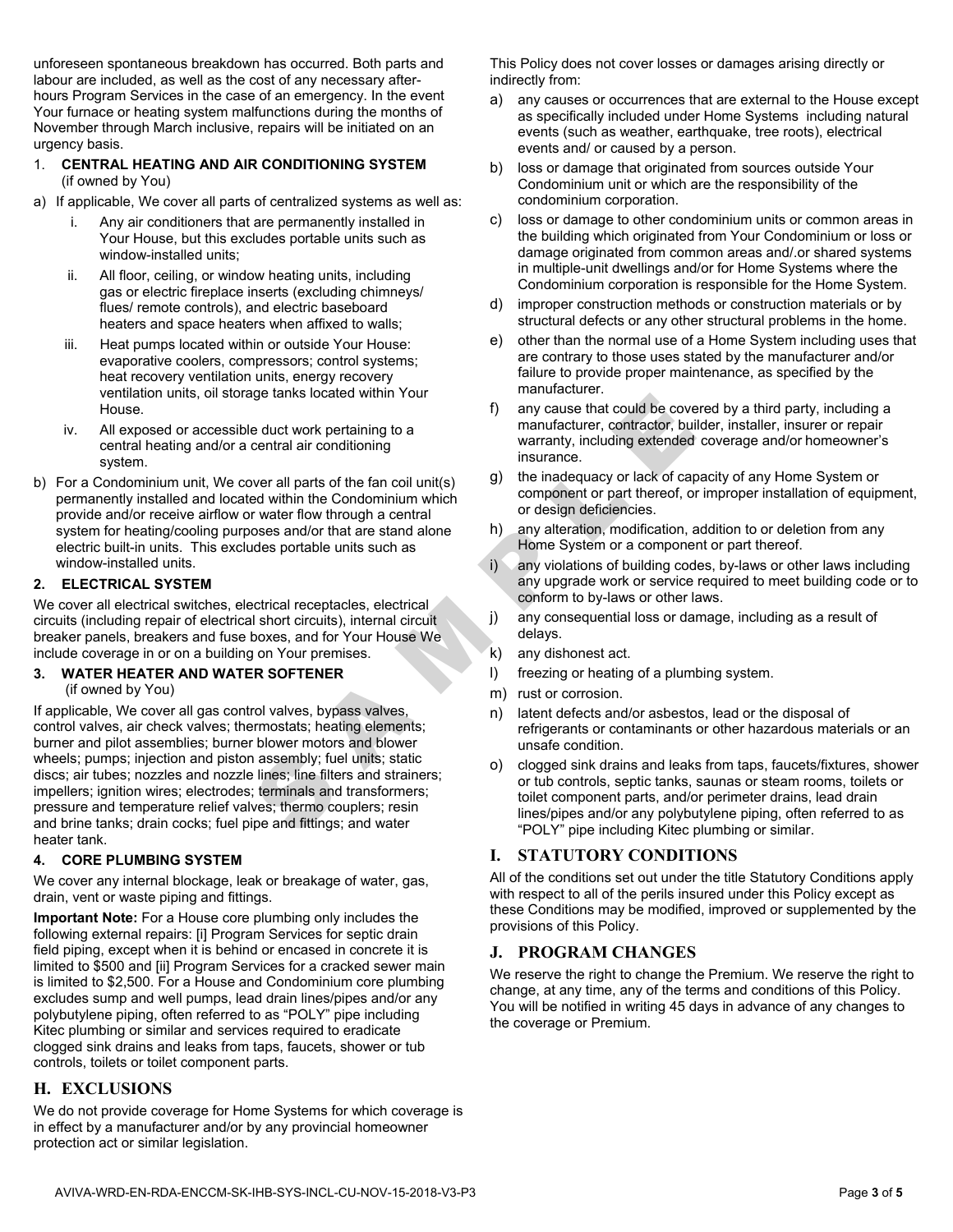unforeseen spontaneous breakdown has occurred. Both parts and labour are included, as well as the cost of any necessary after hours Program Services in the case of an emergency. In the event Your furnace or heating system malfunctions during the months of November through March inclusive, repairs will be initiated on an urgency basis.

#### 1. **CENTRAL HEATING AND AIR CONDITIONING SYSTEM**  (if owned by You)

- a) If applicable, We cover all parts of centralized systems as well as:
	- i. Any air conditioners that are permanently installed in Your House, but this excludes portable units such as window-installed units;
	- ii. All floor, ceiling, or window heating units, including gas or electric fireplace inserts (excluding chimneys/ flues/ remote controls), and electric baseboard heaters and space heaters when affixed to walls;
	- iii. Heat pumps located within or outside Your House: evaporative coolers, compressors; control systems; heat recovery ventilation units, energy recovery ventilation units, oil storage tanks located within Your House.
	- iv. All exposed or accessible duct work pertaining to a central heating and/or a central air conditioning system.
- b) For a Condominium unit, We cover all parts of the fan coil unit(s) permanently installed and located within the Condominium which provide and/or receive airflow or water flow through a central system for heating/cooling purposes and/or that are stand alone electric built-in units. This excludes portable units such as window-installed units.

#### **2. ELECTRICAL SYSTEM**

We cover all electrical switches, electrical receptacles, electrical circuits (including repair of electrical short circuits), internal circuit breaker panels, breakers and fuse boxes, and for Your House We include coverage in or on a building on Your premises.

#### **3. WATER HEATER AND WATER SOFTENER**

(if owned by You)

duct work pertaining to a<br>
educt work pertaining to a<br>
ware all parts of the fan coil unit(s)<br>
ware all parts of the fan coil unit(s)<br>
ware all parts of the fan coil unit(s)<br>
ware flow through a central incomplement of the If applicable, We cover all gas control valves, bypass valves, control valves, air check valves; thermostats; heating elements; burner and pilot assemblies; burner blower motors and blower wheels; pumps; injection and piston assembly; fuel units; static discs; air tubes; nozzles and nozzle lines; line filters and strainers; impellers; ignition wires; electrodes; terminals and transformers; pressure and temperature relief valves; thermo couplers; resin and brine tanks; drain cocks; fuel pipe and fittings; and water heater tank.

#### **4. CORE PLUMBING SYSTEM**

We cover any internal blockage, leak or breakage of water, gas, drain, vent or waste piping and fittings.

**Important Note:** For a House core plumbing only includes the following external repairs: [i] Program Services for septic drain field piping, except when it is behind or encased in concrete it is limited to \$500 and [ii] Program Services for a cracked sewer main is limited to \$2,500. For a House and Condominium core plumbing excludes sump and well pumps, lead drain lines/pipes and/or any polybutylene piping, often referred to as "POLY" pipe including Kitec plumbing or similar and services required to eradicate clogged sink drains and leaks from taps, faucets, shower or tub controls, toilets or toilet component parts.

### **H. EXCLUSIONS**

We do not provide coverage for Home Systems for which coverage is in effect by a manufacturer and/or by any provincial homeowner protection act or similar legislation.

This Policy does not cover losses or damages arising directly or indirectly from:

- a) any causes or occurrences that are external to the House except as specifically included under Home Systems including natural events (such as weather, earthquake, tree roots), electrical events and/ or caused by a person.
- b) loss or damage that originated from sources outside Your Condominium unit or which are the responsibility of the condominium corporation.
- c) loss or damage to other condominium units or common areas in the building which originated from Your Condominium or loss or damage originated from common areas and/.or shared systems in multiple-unit dwellings and/or for Home Systems where the Condominium corporation is responsible for the Home System.
- d) improper construction methods or construction materials or by structural defects or any other structural problems in the home.
- e) other than the normal use of a Home System including uses that are contrary to those uses stated by the manufacturer and/or failure to provide proper maintenance, as specified by the manufacturer.
- f) any cause that could be covered by a third party, including a manufacturer, contractor, builder, installer, insurer or repair warranty, including extended coverage and/or homeowner's insurance.
- g) the inadequacy or lack of capacity of any Home System or component or part thereof, or improper installation of equipment, or design deficiencies.
- h) any alteration, modification, addition to or deletion from any Home System or a component or part thereof.
- i) any violations of building codes, by-laws or other laws including any upgrade work or service required to meet building code or to conform to by-laws or other laws.
- j) any consequential loss or damage, including as a result of delays.
- k) any dishonest act.
- l) freezing or heating of a plumbing system.
- m) rust or corrosion.
- n) latent defects and/or asbestos, lead or the disposal of refrigerants or contaminants or other hazardous materials or an unsafe condition.
- o) clogged sink drains and leaks from taps, faucets/fixtures, shower or tub controls, septic tanks, saunas or steam rooms, toilets or toilet component parts, and/or perimeter drains, lead drain lines/pipes and/or any polybutylene piping, often referred to as "POLY" pipe including Kitec plumbing or similar.

### **I. STATUTORY CONDITIONS**

All of the conditions set out under the title Statutory Conditions apply with respect to all of the perils insured under this Policy except as these Conditions may be modified, improved or supplemented by the provisions of this Policy.

### **J. PROGRAM CHANGES**

We reserve the right to change the Premium. We reserve the right to change, at any time, any of the terms and conditions of this Policy. You will be notified in writing 45 days in advance of any changes to the coverage or Premium.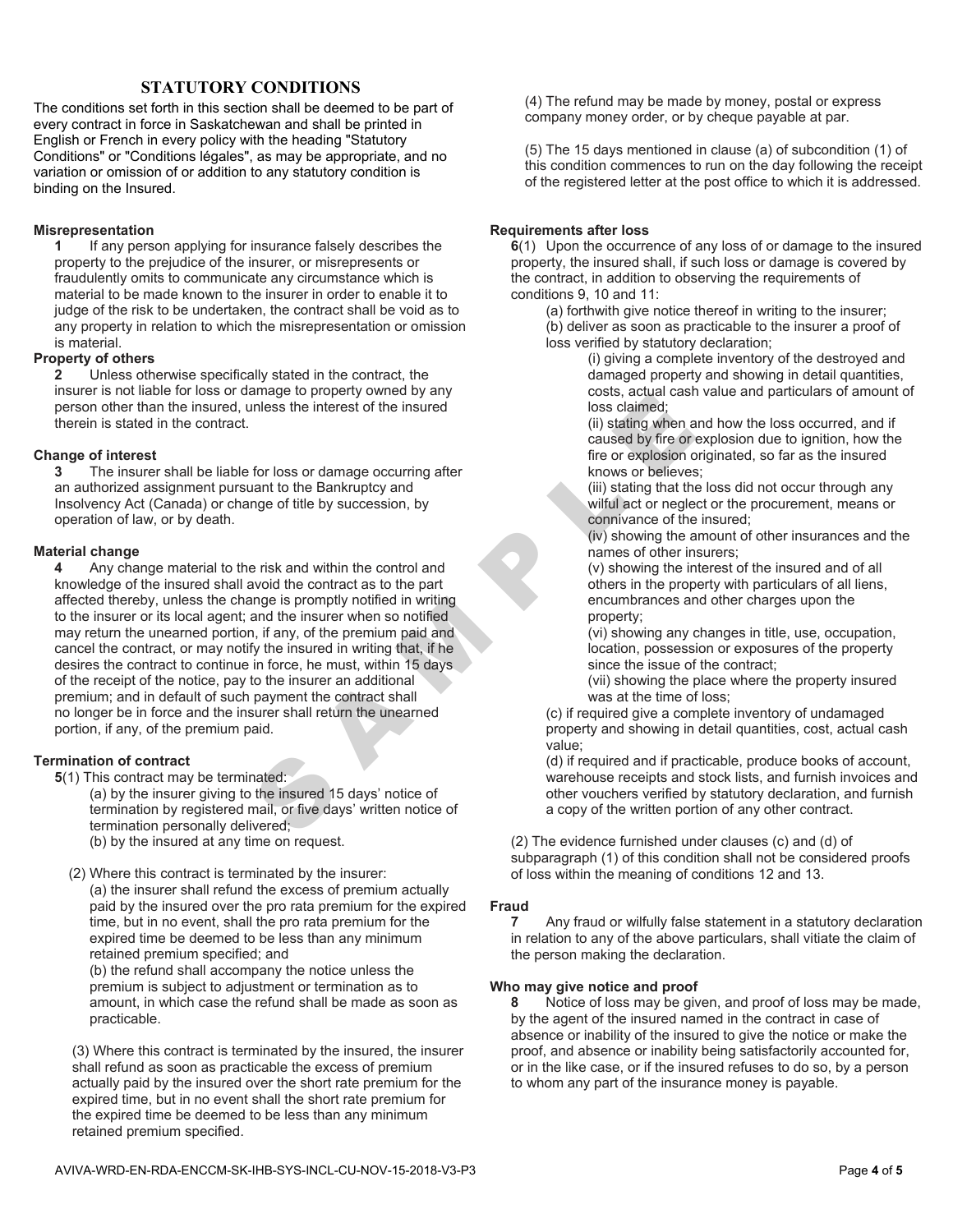### **STATUTORY CONDITIONS**

The conditions set forth in this section shall be deemed to be part of every contract in force in Saskatchewan and shall be printed in English or French in every policy with the heading "Statutory Conditions" or "Conditions légales", as may be appropriate, and no variation or omission of or addition to any statutory condition is binding on the Insured.

#### **Misrepresentation**

**1** If any person applying for insurance falsely describes the property to the prejudice of the insurer, or misrepresents or fraudulently omits to communicate any circumstance which is material to be made known to the insurer in order to enable it to judge of the risk to be undertaken, the contract shall be void as to any property in relation to which the misrepresentation or omission is material.

**Property of others**<br>**2** Unless otherwise specifically stated in the contract, the insurer is not liable for loss or damage to property owned by any person other than the insured, unless the interest of the insured therein is stated in the contract.

**Change of interest 3** The insurer shall be liable for loss or damage occurring after an authorized assignment pursuant to the Bankruptcy and Insolvency Act (Canada) or change of title by succession, by operation of law, or by death.

# **Material change**<br>**4** Any cha

and the interest of the insured occurring after<br>
loss claimed;<br>
(ii) stating when and the caused by fire or explosion origin<br>
and to the Bankruptcy and<br>
(ii) stating when and the caused by fire or explosion origin<br>
and the **4** Any change material to the risk and within the control and knowledge of the insured shall avoid the contract as to the part affected thereby, unless the change is promptly notified in writing to the insurer or its local agent; and the insurer when so notified may return the unearned portion, if any, of the premium paid and cancel the contract, or may notify the insured in writing that, if he desires the contract to continue in force, he must, within 15 days of the receipt of the notice, pay to the insurer an additional premium; and in default of such payment the contract shall no longer be in force and the insurer shall return the unearned portion, if any, of the premium paid.

**Termination of contract**<br>**5**(1) This contract may be terminated:

(a) by the insurer giving to the insured 15 days' notice of termination by registered mail, or five days' written notice of termination personally delivered; (b) by the insured at any time on request.

#### (2) Where this contract is terminated by the insurer:

(a) the insurer shall refund the excess of premium actually paid by the insured over the pro rata premium for the expired time, but in no event, shall the pro rata premium for the expired time be deemed to be less than any minimum retained premium specified; and

(b) the refund shall accompany the notice unless the premium is subject to adjustment or termination as to amount, in which case the refund shall be made as soon as practicable.

(3) Where this contract is terminated by the insured, the insurer shall refund as soon as practicable the excess of premium actually paid by the insured over the short rate premium for the expired time, but in no event shall the short rate premium for the expired time be deemed to be less than any minimum retained premium specified.

(4) The refund may be made by money, postal or express company money order, or by cheque payable at par.

(5) The 15 days mentioned in clause (a) of subcondition (1) of this condition commences to run on the day following the receipt of the registered letter at the post office to which it is addressed.

**Requirements after loss**<br>**6**(1) Upon the occurrence of any loss of or damage to the insured property, the insured shall, if such loss or damage is covered by the contract, in addition to observing the requirements of conditions 9, 10 and 11:

> (a) forthwith give notice thereof in writing to the insurer; (b) deliver as soon as practicable to the insurer a proof of

loss verified by statutory declaration;

(i) giving a complete inventory of the destroyed and damaged property and showing in detail quantities, costs, actual cash value and particulars of amount of loss claimed;

(ii) stating when and how the loss occurred, and if caused by fire or explosion due to ignition, how the fire or explosion originated, so far as the insured knows or believes;

(iii) stating that the loss did not occur through any wilful act or neglect or the procurement, means or connivance of the insured;

(iv) showing the amount of other insurances and the names of other insurers;

(v) showing the interest of the insured and of all others in the property with particulars of all liens, encumbrances and other charges upon the property;

(vi) showing any changes in title, use, occupation, location, possession or exposures of the property since the issue of the contract;

(vii) showing the place where the property insured was at the time of loss;

(c) if required give a complete inventory of undamaged property and showing in detail quantities, cost, actual cash value;

(d) if required and if practicable, produce books of account, warehouse receipts and stock lists, and furnish invoices and other vouchers verified by statutory declaration, and furnish a copy of the written portion of any other contract.

(2) The evidence furnished under clauses (c) and (d) of subparagraph (1) of this condition shall not be considered proofs of loss within the meaning of conditions 12 and 13.

**Fraud**<br>**7** Any fraud or wilfully false statement in a statutory declaration in relation to any of the above particulars, shall vitiate the claim of the person making the declaration.

**Who may give notice and proof**<br>**8** Notice of loss may be given, and proof of loss may be made, by the agent of the insured named in the contract in case of absence or inability of the insured to give the notice or make the proof, and absence or inability being satisfactorily accounted for, or in the like case, or if the insured refuses to do so, by a person to whom any part of the insurance money is payable.